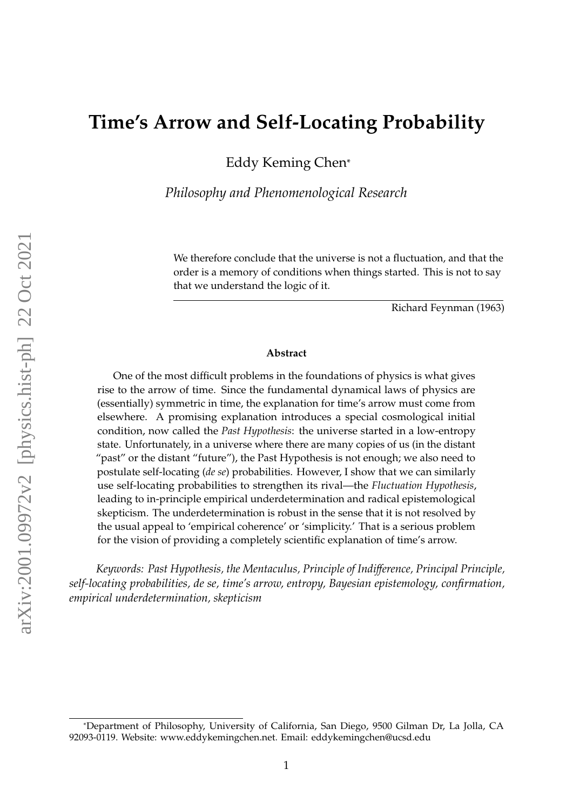# **Time's Arrow and Self-Locating Probability**

Eddy Keming Chen\*

*Philosophy and Phenomenological Research*

We therefore conclude that the universe is not a fluctuation, and that the order is a memory of conditions when things started. This is not to say that we understand the logic of it.

Richard Feynman (1963)

### **Abstract**

One of the most difficult problems in the foundations of physics is what gives rise to the arrow of time. Since the fundamental dynamical laws of physics are (essentially) symmetric in time, the explanation for time's arrow must come from elsewhere. A promising explanation introduces a special cosmological initial condition, now called the *Past Hypothesis*: the universe started in a low-entropy state. Unfortunately, in a universe where there are many copies of us (in the distant "past" or the distant "future"), the Past Hypothesis is not enough; we also need to postulate self-locating (*de se*) probabilities. However, I show that we can similarly use self-locating probabilities to strengthen its rival—the *Fluctuation Hypothesis*, leading to in-principle empirical underdetermination and radical epistemological skepticism. The underdetermination is robust in the sense that it is not resolved by the usual appeal to 'empirical coherence' or 'simplicity.' That is a serious problem for the vision of providing a completely scientific explanation of time's arrow.

*Keywords: Past Hypothesis, the Mentaculus, Principle of Indi*ff*erence, Principal Principle, self-locating probabilities, de se, time's arrow, entropy, Bayesian epistemology, confirmation, empirical underdetermination, skepticism*

<sup>\*</sup>Department of Philosophy, University of California, San Diego, 9500 Gilman Dr, La Jolla, CA 92093-0119. Website: www.eddykemingchen.net. Email: eddykemingchen@ucsd.edu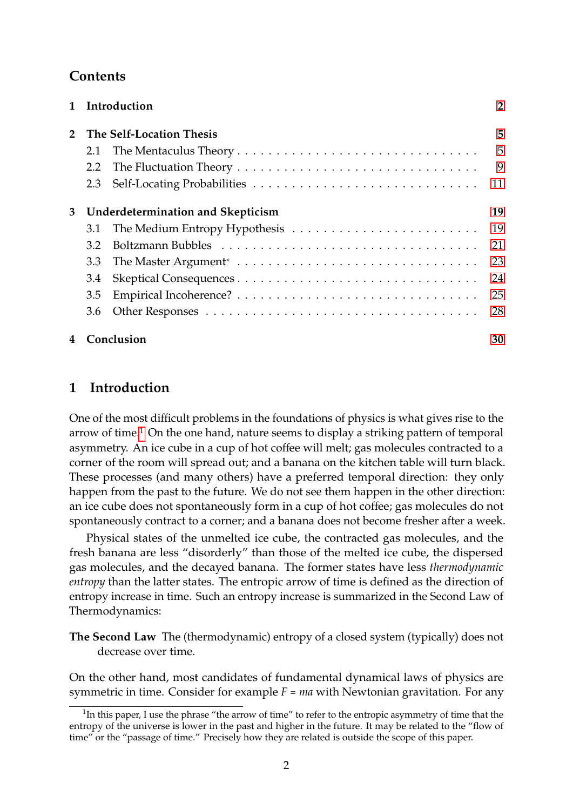## **Contents**

|              |                                   | 1 Introduction | $\overline{2}$ |
|--------------|-----------------------------------|----------------|----------------|
|              | 2 The Self-Location Thesis        |                | 5              |
|              | 2.1                               |                | 5              |
|              | 2.2                               |                | 9              |
|              | 2.3                               |                | 11             |
| 3            | Underdetermination and Skepticism |                | 19             |
|              | 3.1                               |                | 19             |
|              | 3.2                               |                | 21             |
|              | 3.3                               |                | 23             |
|              | 3.4                               |                | 24             |
|              | 3.5                               |                | 25             |
|              | 3.6                               |                | 28             |
| 4 Conclusion |                                   | 30             |                |

## <span id="page-1-0"></span>**1 Introduction**

One of the most difficult problems in the foundations of physics is what gives rise to the arrow of time.<sup>[1](#page-1-1)</sup> On the one hand, nature seems to display a striking pattern of temporal asymmetry. An ice cube in a cup of hot coffee will melt; gas molecules contracted to a corner of the room will spread out; and a banana on the kitchen table will turn black. These processes (and many others) have a preferred temporal direction: they only happen from the past to the future. We do not see them happen in the other direction: an ice cube does not spontaneously form in a cup of hot coffee; gas molecules do not spontaneously contract to a corner; and a banana does not become fresher after a week.

Physical states of the unmelted ice cube, the contracted gas molecules, and the fresh banana are less "disorderly" than those of the melted ice cube, the dispersed gas molecules, and the decayed banana. The former states have less *thermodynamic entropy* than the latter states. The entropic arrow of time is defined as the direction of entropy increase in time. Such an entropy increase is summarized in the Second Law of Thermodynamics:

**The Second Law** The (thermodynamic) entropy of a closed system (typically) does not decrease over time.

On the other hand, most candidates of fundamental dynamical laws of physics are symmetric in time. Consider for example  $F = ma$  with Newtonian gravitation. For any

<span id="page-1-1"></span> $1$ In this paper, I use the phrase "the arrow of time" to refer to the entropic asymmetry of time that the entropy of the universe is lower in the past and higher in the future. It may be related to the "flow of time" or the "passage of time." Precisely how they are related is outside the scope of this paper.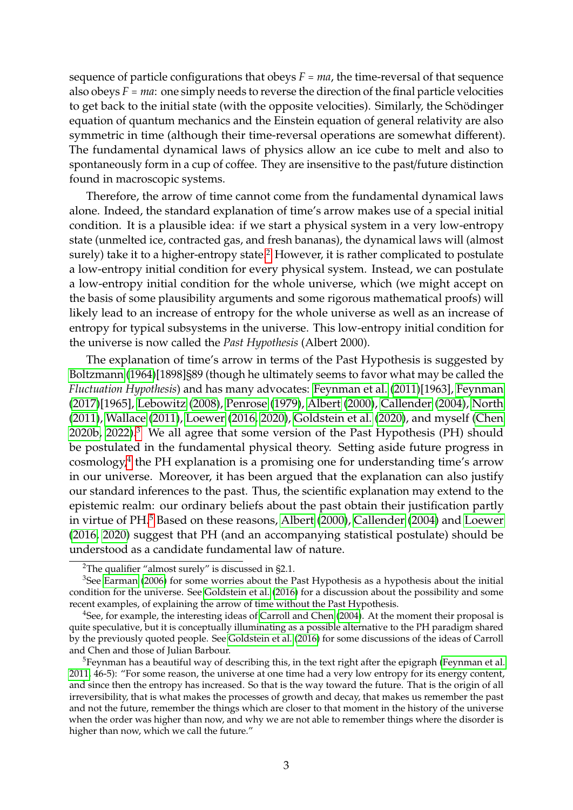sequence of particle configurations that obeys  $F = ma$ , the time-reversal of that sequence also obeys  $F = ma$ : one simply needs to reverse the direction of the final particle velocities to get back to the initial state (with the opposite velocities). Similarly, the Schödinger equation of quantum mechanics and the Einstein equation of general relativity are also symmetric in time (although their time-reversal operations are somewhat different). The fundamental dynamical laws of physics allow an ice cube to melt and also to spontaneously form in a cup of coffee. They are insensitive to the past/future distinction found in macroscopic systems.

Therefore, the arrow of time cannot come from the fundamental dynamical laws alone. Indeed, the standard explanation of time's arrow makes use of a special initial condition. It is a plausible idea: if we start a physical system in a very low-entropy state (unmelted ice, contracted gas, and fresh bananas), the dynamical laws will (almost surely) take it to a higher-entropy state.<sup>[2](#page-2-0)</sup> However, it is rather complicated to postulate a low-entropy initial condition for every physical system. Instead, we can postulate a low-entropy initial condition for the whole universe, which (we might accept on the basis of some plausibility arguments and some rigorous mathematical proofs) will likely lead to an increase of entropy for the whole universe as well as an increase of entropy for typical subsystems in the universe. This low-entropy initial condition for the universe is now called the *Past Hypothesis* (Albert 2000).

The explanation of time's arrow in terms of the Past Hypothesis is suggested by [Boltzmann](#page-31-0) [\(1964\)](#page-31-0)[1898]§89 (though he ultimately seems to favor what may be called the *Fluctuation Hypothesis*) and has many advocates: [Feynman et al.](#page-32-0) [\(2011\)](#page-32-0)[1963], [Feynman](#page-32-1) [\(2017\)](#page-32-1)[1965], [Lebowitz](#page-33-0) [\(2008\)](#page-33-0), [Penrose](#page-34-0) [\(1979\)](#page-34-0), [Albert](#page-31-1) [\(2000\)](#page-31-1), [Callender](#page-31-2) [\(2004\)](#page-31-2), [North](#page-33-1) [\(2011\)](#page-33-1), [Wallace](#page-34-1) [\(2011\)](#page-34-1), [Loewer](#page-33-2) [\(2016,](#page-33-2) [2020\)](#page-33-3), [Goldstein et al.](#page-32-2) [\(2020\)](#page-32-2), and myself [\(Chen](#page-32-3) [2020b,](#page-32-3) [2022\)](#page-32-4).[3](#page-2-1) We all agree that some version of the Past Hypothesis (PH) should be postulated in the fundamental physical theory. Setting aside future progress in cosmology,[4](#page-2-2) the PH explanation is a promising one for understanding time's arrow in our universe. Moreover, it has been argued that the explanation can also justify our standard inferences to the past. Thus, the scientific explanation may extend to the epistemic realm: our ordinary beliefs about the past obtain their justification partly in virtue of PH.[5](#page-2-3) Based on these reasons, [Albert](#page-31-1) [\(2000\)](#page-31-1), [Callender](#page-31-2) [\(2004\)](#page-31-2) and [Loewer](#page-33-2) [\(2016,](#page-33-2) [2020\)](#page-33-3) suggest that PH (and an accompanying statistical postulate) should be understood as a candidate fundamental law of nature.

<span id="page-2-1"></span><span id="page-2-0"></span><sup>2</sup>The qualifier "almost surely" is discussed in §2.1.

 $3$ See [Earman](#page-32-5) [\(2006\)](#page-32-5) for some worries about the Past Hypothesis as a hypothesis about the initial condition for the universe. See [Goldstein et al.](#page-33-4) [\(2016\)](#page-33-4) for a discussion about the possibility and some recent examples, of explaining the arrow of time without the Past Hypothesis.

<span id="page-2-2"></span><sup>&</sup>lt;sup>4</sup>See, for example, the interesting ideas of [Carroll and Chen](#page-32-6) [\(2004\)](#page-32-6). At the moment their proposal is quite speculative, but it is conceptually illuminating as a possible alternative to the PH paradigm shared by the previously quoted people. See [Goldstein et al.](#page-33-4) [\(2016\)](#page-33-4) for some discussions of the ideas of Carroll and Chen and those of Julian Barbour.

<span id="page-2-3"></span> $5$ Feynman has a beautiful way of describing this, in the text right after the epigraph [\(Feynman et al.](#page-32-0) [2011,](#page-32-0) 46-5): "For some reason, the universe at one time had a very low entropy for its energy content, and since then the entropy has increased. So that is the way toward the future. That is the origin of all irreversibility, that is what makes the processes of growth and decay, that makes us remember the past and not the future, remember the things which are closer to that moment in the history of the universe when the order was higher than now, and why we are not able to remember things where the disorder is higher than now, which we call the future."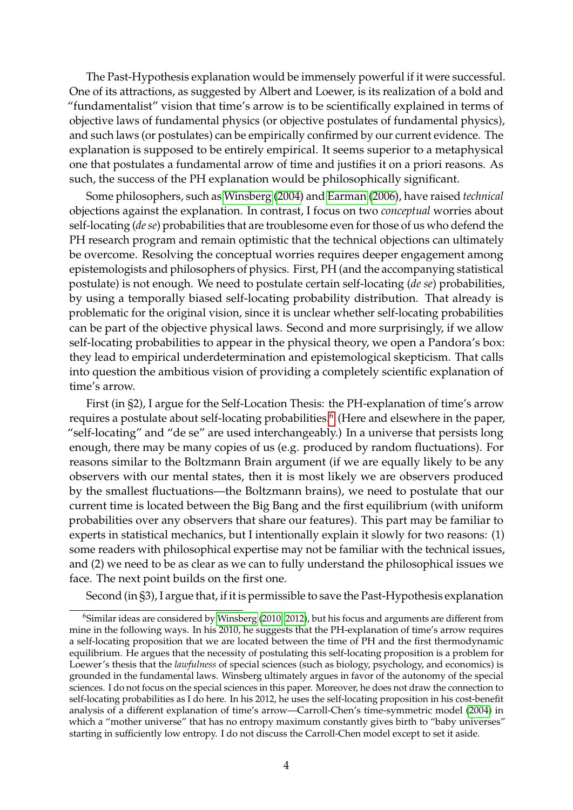The Past-Hypothesis explanation would be immensely powerful if it were successful. One of its attractions, as suggested by Albert and Loewer, is its realization of a bold and "fundamentalist" vision that time's arrow is to be scientifically explained in terms of objective laws of fundamental physics (or objective postulates of fundamental physics), and such laws (or postulates) can be empirically confirmed by our current evidence. The explanation is supposed to be entirely empirical. It seems superior to a metaphysical one that postulates a fundamental arrow of time and justifies it on a priori reasons. As such, the success of the PH explanation would be philosophically significant.

Some philosophers, such as [Winsberg](#page-34-2) [\(2004\)](#page-34-2) and [Earman](#page-32-5) [\(2006\)](#page-32-5), have raised *technical* objections against the explanation. In contrast, I focus on two *conceptual* worries about self-locating (*de se*) probabilities that are troublesome even for those of us who defend the PH research program and remain optimistic that the technical objections can ultimately be overcome. Resolving the conceptual worries requires deeper engagement among epistemologists and philosophers of physics. First, PH (and the accompanying statistical postulate) is not enough. We need to postulate certain self-locating (*de se*) probabilities, by using a temporally biased self-locating probability distribution. That already is problematic for the original vision, since it is unclear whether self-locating probabilities can be part of the objective physical laws. Second and more surprisingly, if we allow self-locating probabilities to appear in the physical theory, we open a Pandora's box: they lead to empirical underdetermination and epistemological skepticism. That calls into question the ambitious vision of providing a completely scientific explanation of time's arrow.

First (in §2), I argue for the Self-Location Thesis: the PH-explanation of time's arrow requires a postulate about self-locating probabilities.<sup>[6](#page-3-0)</sup> (Here and elsewhere in the paper, "self-locating" and "de se" are used interchangeably.) In a universe that persists long enough, there may be many copies of us (e.g. produced by random fluctuations). For reasons similar to the Boltzmann Brain argument (if we are equally likely to be any observers with our mental states, then it is most likely we are observers produced by the smallest fluctuations—the Boltzmann brains), we need to postulate that our current time is located between the Big Bang and the first equilibrium (with uniform probabilities over any observers that share our features). This part may be familiar to experts in statistical mechanics, but I intentionally explain it slowly for two reasons: (1) some readers with philosophical expertise may not be familiar with the technical issues, and (2) we need to be as clear as we can to fully understand the philosophical issues we face. The next point builds on the first one.

Second (in §3), I argue that, if it is permissible to save the Past-Hypothesis explanation

<span id="page-3-0"></span><sup>&</sup>lt;sup>6</sup>Similar ideas are considered by [Winsberg](#page-34-3) [\(2010,](#page-34-3) [2012\)](#page-34-4), but his focus and arguments are different from mine in the following ways. In his 2010, he suggests that the PH-explanation of time's arrow requires a self-locating proposition that we are located between the time of PH and the first thermodynamic equilibrium. He argues that the necessity of postulating this self-locating proposition is a problem for Loewer's thesis that the *lawfulness* of special sciences (such as biology, psychology, and economics) is grounded in the fundamental laws. Winsberg ultimately argues in favor of the autonomy of the special sciences. I do not focus on the special sciences in this paper. Moreover, he does not draw the connection to self-locating probabilities as I do here. In his 2012, he uses the self-locating proposition in his cost-benefit analysis of a different explanation of time's arrow—Carroll-Chen's time-symmetric model [\(2004\)](#page-32-6) in which a "mother universe" that has no entropy maximum constantly gives birth to "baby universes" starting in sufficiently low entropy. I do not discuss the Carroll-Chen model except to set it aside.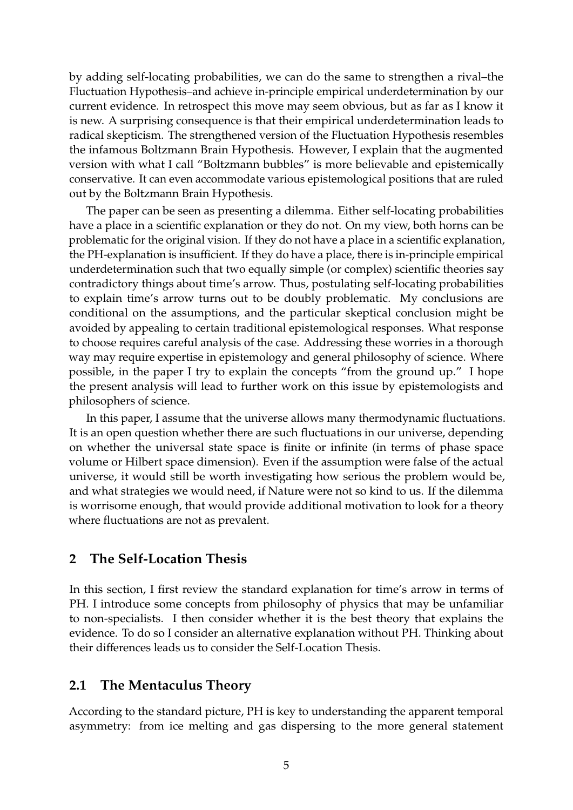by adding self-locating probabilities, we can do the same to strengthen a rival–the Fluctuation Hypothesis–and achieve in-principle empirical underdetermination by our current evidence. In retrospect this move may seem obvious, but as far as I know it is new. A surprising consequence is that their empirical underdetermination leads to radical skepticism. The strengthened version of the Fluctuation Hypothesis resembles the infamous Boltzmann Brain Hypothesis. However, I explain that the augmented version with what I call "Boltzmann bubbles" is more believable and epistemically conservative. It can even accommodate various epistemological positions that are ruled out by the Boltzmann Brain Hypothesis.

The paper can be seen as presenting a dilemma. Either self-locating probabilities have a place in a scientific explanation or they do not. On my view, both horns can be problematic for the original vision. If they do not have a place in a scientific explanation, the PH-explanation is insufficient. If they do have a place, there is in-principle empirical underdetermination such that two equally simple (or complex) scientific theories say contradictory things about time's arrow. Thus, postulating self-locating probabilities to explain time's arrow turns out to be doubly problematic. My conclusions are conditional on the assumptions, and the particular skeptical conclusion might be avoided by appealing to certain traditional epistemological responses. What response to choose requires careful analysis of the case. Addressing these worries in a thorough way may require expertise in epistemology and general philosophy of science. Where possible, in the paper I try to explain the concepts "from the ground up." I hope the present analysis will lead to further work on this issue by epistemologists and philosophers of science.

In this paper, I assume that the universe allows many thermodynamic fluctuations. It is an open question whether there are such fluctuations in our universe, depending on whether the universal state space is finite or infinite (in terms of phase space volume or Hilbert space dimension). Even if the assumption were false of the actual universe, it would still be worth investigating how serious the problem would be, and what strategies we would need, if Nature were not so kind to us. If the dilemma is worrisome enough, that would provide additional motivation to look for a theory where fluctuations are not as prevalent.

### <span id="page-4-0"></span>**2 The Self-Location Thesis**

In this section, I first review the standard explanation for time's arrow in terms of PH. I introduce some concepts from philosophy of physics that may be unfamiliar to non-specialists. I then consider whether it is the best theory that explains the evidence. To do so I consider an alternative explanation without PH. Thinking about their differences leads us to consider the Self-Location Thesis.

### <span id="page-4-1"></span>**2.1 The Mentaculus Theory**

According to the standard picture, PH is key to understanding the apparent temporal asymmetry: from ice melting and gas dispersing to the more general statement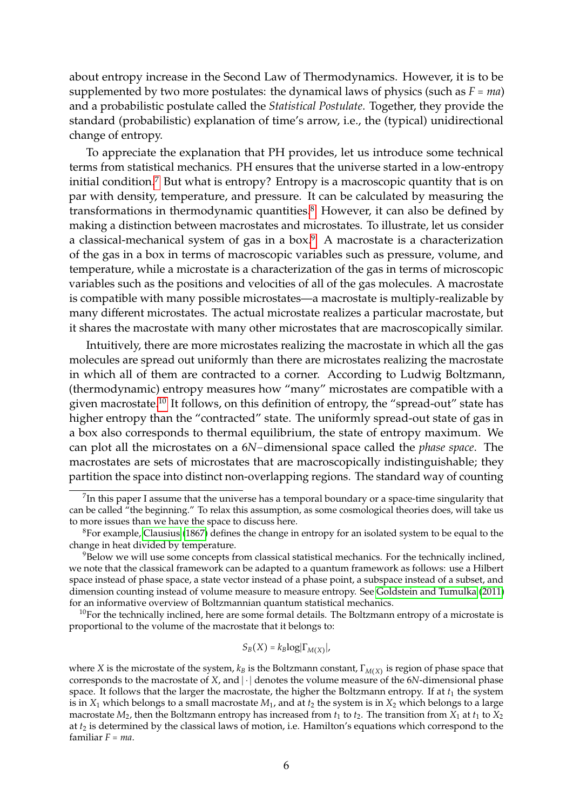about entropy increase in the Second Law of Thermodynamics. However, it is to be supplemented by two more postulates: the dynamical laws of physics (such as  $F = ma$ ) and a probabilistic postulate called the *Statistical Postulate*. Together, they provide the standard (probabilistic) explanation of time's arrow, i.e., the (typical) unidirectional change of entropy.

To appreciate the explanation that PH provides, let us introduce some technical terms from statistical mechanics. PH ensures that the universe started in a low-entropy initial condition.<sup>[7](#page-5-0)</sup> But what is entropy? Entropy is a macroscopic quantity that is on par with density, temperature, and pressure. It can be calculated by measuring the transformations in thermodynamic quantities.[8](#page-5-1) However, it can also be defined by making a distinction between macrostates and microstates. To illustrate, let us consider a classical-mechanical system of gas in a box.[9](#page-5-2) A macrostate is a characterization of the gas in a box in terms of macroscopic variables such as pressure, volume, and temperature, while a microstate is a characterization of the gas in terms of microscopic variables such as the positions and velocities of all of the gas molecules. A macrostate is compatible with many possible microstates—a macrostate is multiply-realizable by many different microstates. The actual microstate realizes a particular macrostate, but it shares the macrostate with many other microstates that are macroscopically similar.

Intuitively, there are more microstates realizing the macrostate in which all the gas molecules are spread out uniformly than there are microstates realizing the macrostate in which all of them are contracted to a corner. According to Ludwig Boltzmann, (thermodynamic) entropy measures how "many" microstates are compatible with a given macrostate.[10](#page-5-3) It follows, on this definition of entropy, the "spread-out" state has higher entropy than the "contracted" state. The uniformly spread-out state of gas in a box also corresponds to thermal equilibrium, the state of entropy maximum. We can plot all the microstates on a 6*N*−dimensional space called the *phase space*. The macrostates are sets of microstates that are macroscopically indistinguishable; they partition the space into distinct non-overlapping regions. The standard way of counting

<span id="page-5-3"></span> $10$ For the technically inclined, here are some formal details. The Boltzmann entropy of a microstate is proportional to the volume of the macrostate that it belongs to:

$$
S_B(X) = k_B \log |\Gamma_{M(X)}|,
$$

<span id="page-5-0"></span> $^7$ In this paper I assume that the universe has a temporal boundary or a space-time singularity that can be called "the beginning." To relax this assumption, as some cosmological theories does, will take us to more issues than we have the space to discuss here.

<span id="page-5-1"></span> ${}^{8}$ For example, [Clausius](#page-32-7) [\(1867\)](#page-32-7) defines the change in entropy for an isolated system to be equal to the change in heat divided by temperature.

<span id="page-5-2"></span><sup>&</sup>lt;sup>9</sup>Below we will use some concepts from classical statistical mechanics. For the technically inclined, we note that the classical framework can be adapted to a quantum framework as follows: use a Hilbert space instead of phase space, a state vector instead of a phase point, a subspace instead of a subset, and dimension counting instead of volume measure to measure entropy. See [Goldstein and Tumulka](#page-33-5) [\(2011\)](#page-33-5) for an informative overview of Boltzmannian quantum statistical mechanics.

where *X* is the microstate of the system,  $k_B$  is the Boltzmann constant,  $\Gamma_{M(X)}$  is region of phase space that corresponds to the macrostate of *X*, and ∣ ⋅ ∣ denotes the volume measure of the 6*N*-dimensional phase space. It follows that the larger the macrostate, the higher the Boltzmann entropy. If at  $t_1$  the system is in  $X_1$  which belongs to a small macrostate  $M_1$ , and at  $t_2$  the system is in  $X_2$  which belongs to a large macrostate  $M_2$ , then the Boltzmann entropy has increased from  $t_1$  to  $t_2$ . The transition from  $X_1$  at  $t_1$  to  $X_2$ at *t*<sup>2</sup> is determined by the classical laws of motion, i.e. Hamilton's equations which correspond to the familiar *F* = *ma*.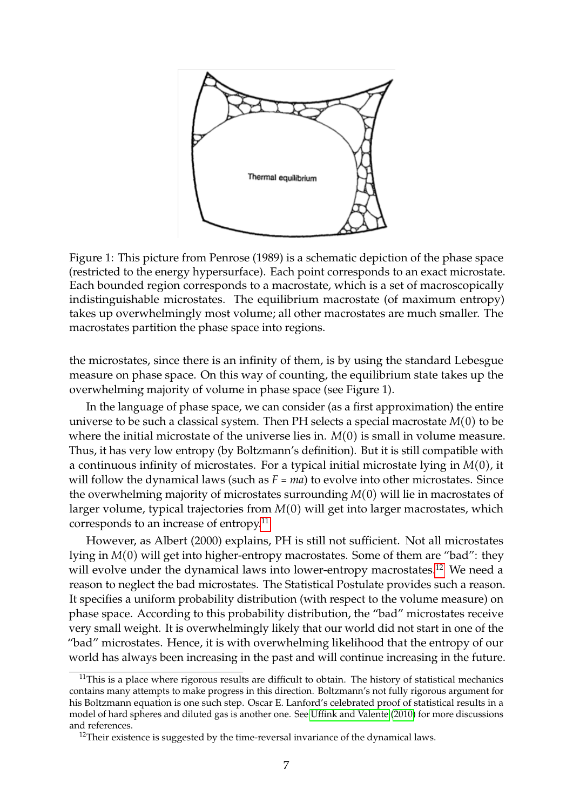

Figure 1: This picture from Penrose (1989) is a schematic depiction of the phase space (restricted to the energy hypersurface). Each point corresponds to an exact microstate. Each bounded region corresponds to a macrostate, which is a set of macroscopically indistinguishable microstates. The equilibrium macrostate (of maximum entropy) takes up overwhelmingly most volume; all other macrostates are much smaller. The macrostates partition the phase space into regions.

the microstates, since there is an infinity of them, is by using the standard Lebesgue measure on phase space. On this way of counting, the equilibrium state takes up the overwhelming majority of volume in phase space (see Figure 1).

In the language of phase space, we can consider (as a first approximation) the entire universe to be such a classical system. Then PH selects a special macrostate *M*(0) to be where the initial microstate of the universe lies in. *M*(0) is small in volume measure. Thus, it has very low entropy (by Boltzmann's definition). But it is still compatible with a continuous infinity of microstates. For a typical initial microstate lying in *M*(0), it will follow the dynamical laws (such as  $F = ma$ ) to evolve into other microstates. Since the overwhelming majority of microstates surrounding *M*(0) will lie in macrostates of larger volume, typical trajectories from *M*(0) will get into larger macrostates, which corresponds to an increase of entropy.[11](#page-6-0)

However, as Albert (2000) explains, PH is still not sufficient. Not all microstates lying in *M*(0) will get into higher-entropy macrostates. Some of them are "bad": they will evolve under the dynamical laws into lower-entropy macrostates.<sup>[12](#page-6-1)</sup> We need a reason to neglect the bad microstates. The Statistical Postulate provides such a reason. It specifies a uniform probability distribution (with respect to the volume measure) on phase space. According to this probability distribution, the "bad" microstates receive very small weight. It is overwhelmingly likely that our world did not start in one of the "bad" microstates. Hence, it is with overwhelming likelihood that the entropy of our world has always been increasing in the past and will continue increasing in the future.

<span id="page-6-0"></span> $11$ This is a place where rigorous results are difficult to obtain. The history of statistical mechanics contains many attempts to make progress in this direction. Boltzmann's not fully rigorous argument for his Boltzmann equation is one such step. Oscar E. Lanford's celebrated proof of statistical results in a model of hard spheres and diluted gas is another one. See Uffi[nk and Valente](#page-34-5) [\(2010\)](#page-34-5) for more discussions and references.

<span id="page-6-1"></span> $12$ Their existence is suggested by the time-reversal invariance of the dynamical laws.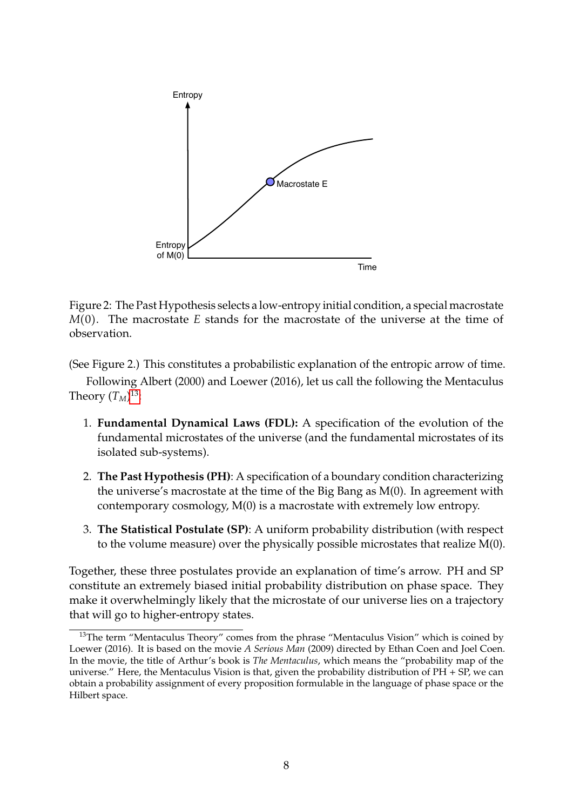

Figure 2: The Past Hypothesis selects a low-entropy initial condition, a special macrostate *M*(0). The macrostate *E* stands for the macrostate of the universe at the time of observation.

(See Figure 2.) This constitutes a probabilistic explanation of the entropic arrow of time. Following Albert (2000) and Loewer (2016), let us call the following the Mentaculus Theory  $(T_M)^{13}$  $(T_M)^{13}$  $(T_M)^{13}$ :

- 1. **Fundamental Dynamical Laws (FDL):** A specification of the evolution of the fundamental microstates of the universe (and the fundamental microstates of its isolated sub-systems).
- 2. **The Past Hypothesis (PH)**: A specification of a boundary condition characterizing the universe's macrostate at the time of the Big Bang as M(0). In agreement with contemporary cosmology, M(0) is a macrostate with extremely low entropy.
- 3. **The Statistical Postulate (SP)**: A uniform probability distribution (with respect to the volume measure) over the physically possible microstates that realize M(0).

Together, these three postulates provide an explanation of time's arrow. PH and SP constitute an extremely biased initial probability distribution on phase space. They make it overwhelmingly likely that the microstate of our universe lies on a trajectory that will go to higher-entropy states.

<span id="page-7-0"></span> $13$ The term "Mentaculus Theory" comes from the phrase "Mentaculus Vision" which is coined by Loewer (2016). It is based on the movie *A Serious Man* (2009) directed by Ethan Coen and Joel Coen. In the movie, the title of Arthur's book is *The Mentaculus*, which means the "probability map of the universe." Here, the Mentaculus Vision is that, given the probability distribution of  $PH + SP$ , we can obtain a probability assignment of every proposition formulable in the language of phase space or the Hilbert space.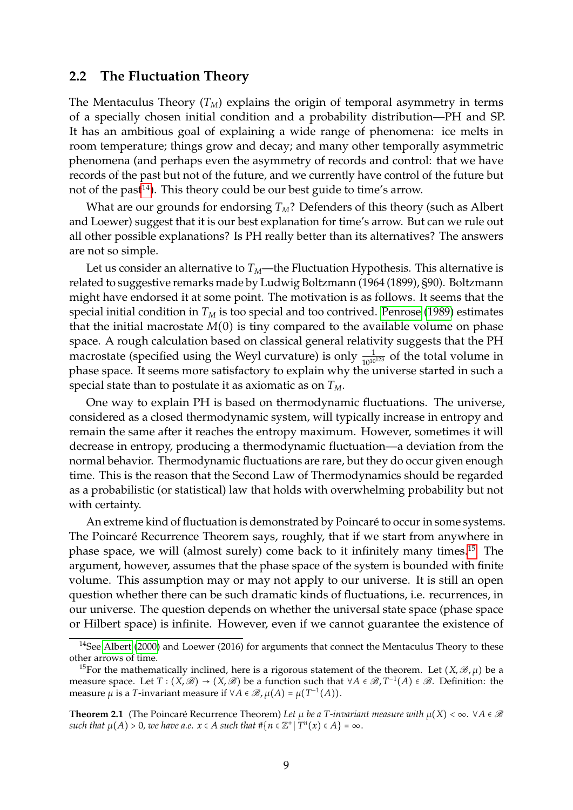### <span id="page-8-0"></span>**2.2 The Fluctuation Theory**

The Mentaculus Theory  $(T_M)$  explains the origin of temporal asymmetry in terms of a specially chosen initial condition and a probability distribution—PH and SP. It has an ambitious goal of explaining a wide range of phenomena: ice melts in room temperature; things grow and decay; and many other temporally asymmetric phenomena (and perhaps even the asymmetry of records and control: that we have records of the past but not of the future, and we currently have control of the future but not of the past<sup>[14](#page-8-1)</sup>). This theory could be our best guide to time's arrow.

What are our grounds for endorsing  $T_M$ ? Defenders of this theory (such as Albert and Loewer) suggest that it is our best explanation for time's arrow. But can we rule out all other possible explanations? Is PH really better than its alternatives? The answers are not so simple.

Let us consider an alternative to  $T_M$ —the Fluctuation Hypothesis. This alternative is related to suggestive remarks made by Ludwig Boltzmann (1964 (1899), §90). Boltzmann might have endorsed it at some point. The motivation is as follows. It seems that the special initial condition in  $T_M$  is too special and too contrived. [Penrose](#page-34-6) [\(1989\)](#page-34-6) estimates that the initial macrostate *M*(0) is tiny compared to the available volume on phase space. A rough calculation based on classical general relativity suggests that the PH macrostate (specified using the Weyl curvature) is only  $\frac{1}{10^{10^{123}}}$  of the total volume in phase space. It seems more satisfactory to explain why the universe started in such a special state than to postulate it as axiomatic as on *TM*.

One way to explain PH is based on thermodynamic fluctuations. The universe, considered as a closed thermodynamic system, will typically increase in entropy and remain the same after it reaches the entropy maximum. However, sometimes it will decrease in entropy, producing a thermodynamic fluctuation—a deviation from the normal behavior. Thermodynamic fluctuations are rare, but they do occur given enough time. This is the reason that the Second Law of Thermodynamics should be regarded as a probabilistic (or statistical) law that holds with overwhelming probability but not with certainty.

An extreme kind of fluctuation is demonstrated by Poincaré to occur in some systems. The Poincaré Recurrence Theorem says, roughly, that if we start from anywhere in phase space, we will (almost surely) come back to it infinitely many times.[15](#page-8-2) The argument, however, assumes that the phase space of the system is bounded with finite volume. This assumption may or may not apply to our universe. It is still an open question whether there can be such dramatic kinds of fluctuations, i.e. recurrences, in our universe. The question depends on whether the universal state space (phase space or Hilbert space) is infinite. However, even if we cannot guarantee the existence of

**Theorem 2.1** (The Poincaré Recurrence Theorem) Let  $\mu$  be a *T*-invariant measure with  $\mu(X) < \infty$ . ∀*A* ∈ *B such that*  $\mu(A) > 0$ , we have a.e.  $x \in A$  such that  $\#\{n \in \mathbb{Z}^+ | T^n(x) \in A\} = \infty$ .

<span id="page-8-1"></span><sup>&</sup>lt;sup>14</sup>See [Albert](#page-31-1) [\(2000\)](#page-31-1) and Loewer (2016) for arguments that connect the Mentaculus Theory to these other arrows of time.

<span id="page-8-2"></span><sup>&</sup>lt;sup>15</sup>For the mathematically inclined, here is a rigorous statement of the theorem. Let  $(X,\mathscr{B},\mu)$  be a measure space. Let  $T : (X, \mathscr{B}) \to (X, \mathscr{B})$  be a function such that  $\forall A \in \mathscr{B}, T^{-1}(A) \in \mathscr{B}$ . Definition: the measure *μ* is a *T*-invariant measure if ∀*A* ∈  $\mathscr{B}$ ,  $\mu$ (*A*) =  $\mu$ (*T*<sup>-1</sup>(*A*)).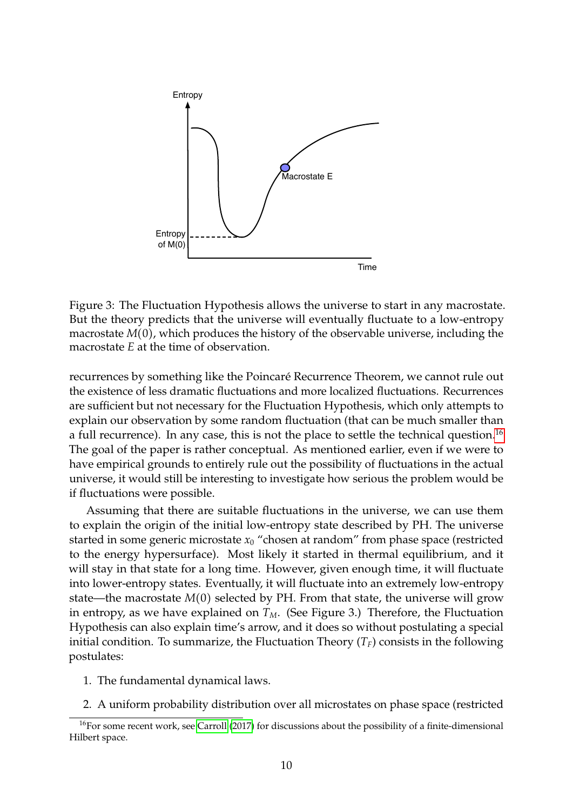

Figure 3: The Fluctuation Hypothesis allows the universe to start in any macrostate. But the theory predicts that the universe will eventually fluctuate to a low-entropy macrostate *M*(0), which produces the history of the observable universe, including the macrostate *E* at the time of observation.

recurrences by something like the Poincaré Recurrence Theorem, we cannot rule out the existence of less dramatic fluctuations and more localized fluctuations. Recurrences are sufficient but not necessary for the Fluctuation Hypothesis, which only attempts to explain our observation by some random fluctuation (that can be much smaller than a full recurrence). In any case, this is not the place to settle the technical question.<sup>[16](#page-9-0)</sup> The goal of the paper is rather conceptual. As mentioned earlier, even if we were to have empirical grounds to entirely rule out the possibility of fluctuations in the actual universe, it would still be interesting to investigate how serious the problem would be if fluctuations were possible.

Assuming that there are suitable fluctuations in the universe, we can use them to explain the origin of the initial low-entropy state described by PH. The universe started in some generic microstate  $x_0$  "chosen at random" from phase space (restricted to the energy hypersurface). Most likely it started in thermal equilibrium, and it will stay in that state for a long time. However, given enough time, it will fluctuate into lower-entropy states. Eventually, it will fluctuate into an extremely low-entropy state—the macrostate *M*(0) selected by PH. From that state, the universe will grow in entropy, as we have explained on  $T_M$ . (See Figure 3.) Therefore, the Fluctuation Hypothesis can also explain time's arrow, and it does so without postulating a special initial condition. To summarize, the Fluctuation Theory  $(T_F)$  consists in the following postulates:

- 1. The fundamental dynamical laws.
- <span id="page-9-0"></span>2. A uniform probability distribution over all microstates on phase space (restricted

 $16$ For some recent work, see [Carroll](#page-31-3) [\(2017\)](#page-31-3) for discussions about the possibility of a finite-dimensional Hilbert space.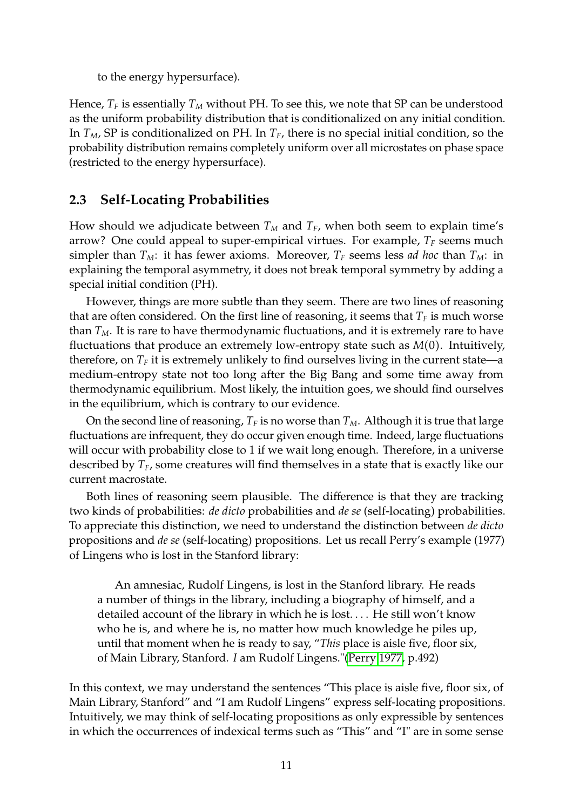to the energy hypersurface).

Hence,  $T_F$  is essentially  $T_M$  without PH. To see this, we note that SP can be understood as the uniform probability distribution that is conditionalized on any initial condition. In *TM*, SP is conditionalized on PH. In *TF*, there is no special initial condition, so the probability distribution remains completely uniform over all microstates on phase space (restricted to the energy hypersurface).

## <span id="page-10-0"></span>**2.3 Self-Locating Probabilities**

How should we adjudicate between  $T_M$  and  $T_F$ , when both seem to explain time's arrow? One could appeal to super-empirical virtues. For example, *T<sup>F</sup>* seems much simpler than  $T_M$ : it has fewer axioms. Moreover,  $T_F$  seems less *ad hoc* than  $T_M$ : in explaining the temporal asymmetry, it does not break temporal symmetry by adding a special initial condition (PH).

However, things are more subtle than they seem. There are two lines of reasoning that are often considered. On the first line of reasoning, it seems that  $T_F$  is much worse than  $T_M$ . It is rare to have thermodynamic fluctuations, and it is extremely rare to have fluctuations that produce an extremely low-entropy state such as *M*(0). Intuitively, therefore, on  $T_F$  it is extremely unlikely to find ourselves living in the current state—a medium-entropy state not too long after the Big Bang and some time away from thermodynamic equilibrium. Most likely, the intuition goes, we should find ourselves in the equilibrium, which is contrary to our evidence.

On the second line of reasoning,  $T_F$  is no worse than  $T_M$ . Although it is true that large fluctuations are infrequent, they do occur given enough time. Indeed, large fluctuations will occur with probability close to 1 if we wait long enough. Therefore, in a universe described by *TF*, some creatures will find themselves in a state that is exactly like our current macrostate.

Both lines of reasoning seem plausible. The difference is that they are tracking two kinds of probabilities: *de dicto* probabilities and *de se* (self-locating) probabilities. To appreciate this distinction, we need to understand the distinction between *de dicto* propositions and *de se* (self-locating) propositions. Let us recall Perry's example (1977) of Lingens who is lost in the Stanford library:

An amnesiac, Rudolf Lingens, is lost in the Stanford library. He reads a number of things in the library, including a biography of himself, and a detailed account of the library in which he is lost. . . . He still won't know who he is, and where he is, no matter how much knowledge he piles up, until that moment when he is ready to say, "*This* place is aisle five, floor six, of Main Library, Stanford. *I* am Rudolf Lingens."[\(Perry 1977,](#page-34-7) p.492)

In this context, we may understand the sentences "This place is aisle five, floor six, of Main Library, Stanford" and "I am Rudolf Lingens" express self-locating propositions. Intuitively, we may think of self-locating propositions as only expressible by sentences in which the occurrences of indexical terms such as "This" and "I" are in some sense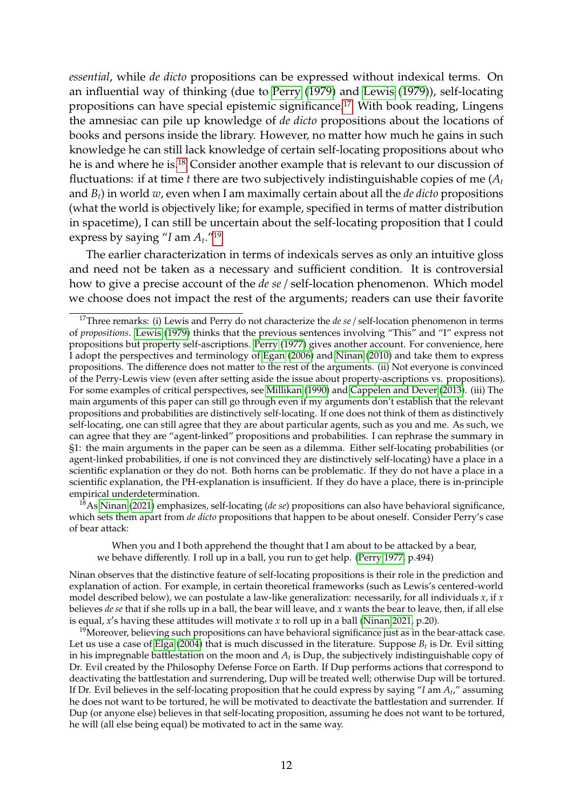*essential*, while *de dicto* propositions can be expressed without indexical terms. On an influential way of thinking (due to [Perry](#page-34-8) [\(1979\)](#page-34-8) and [Lewis](#page-33-6) [\(1979\)](#page-33-6)), self-locating propositions can have special epistemic significance.<sup>[17](#page-11-0)</sup> With book reading, Lingens the amnesiac can pile up knowledge of *de dicto* propositions about the locations of books and persons inside the library. However, no matter how much he gains in such knowledge he can still lack knowledge of certain self-locating propositions about who he is and where he is.[18](#page-11-1) Consider another example that is relevant to our discussion of fluctuations: if at time  $t$  there are two subjectively indistinguishable copies of me  $(A_t)$ and *Bt*) in world *w*, even when I am maximally certain about all the *de dicto* propositions (what the world is objectively like; for example, specified in terms of matter distribution in spacetime), I can still be uncertain about the self-locating proposition that I could express by saying "*I* am *A<sup>t</sup>* ."[19](#page-11-2)

The earlier characterization in terms of indexicals serves as only an intuitive gloss and need not be taken as a necessary and sufficient condition. It is controversial how to give a precise account of the *de se* / self-location phenomenon. Which model we choose does not impact the rest of the arguments; readers can use their favorite

<span id="page-11-1"></span><sup>18</sup>As [Ninan](#page-33-9) [\(2021\)](#page-33-9) emphasizes, self-locating (*de se*) propositions can also have behavioral significance, which sets them apart from *de dicto* propositions that happen to be about oneself. Consider Perry's case of bear attack:

When you and I both apprehend the thought that I am about to be attacked by a bear, we behave differently. I roll up in a ball, you run to get help. [\(Perry 1977,](#page-34-7) p.494)

Ninan observes that the distinctive feature of self-locating propositions is their role in the prediction and explanation of action. For example, in certain theoretical frameworks (such as Lewis's centered-world model described below), we can postulate a law-like generalization: necessarily, for all individuals *x*, if *x* believes *de se* that if she rolls up in a ball, the bear will leave, and *x* wants the bear to leave, then, if all else is equal, x's having these attitudes will motivate x to roll up in a ball [\(Ninan 2021,](#page-33-9) p.20).

<span id="page-11-2"></span> $19$ Moreover, believing such propositions can have behavioral significance just as in the bear-attack case. Let us use a case of [Elga](#page-32-9) [\(2004\)](#page-32-9) that is much discussed in the literature. Suppose *B<sup>t</sup>* is Dr. Evil sitting in his impregnable battlestation on the moon and  $A_t$  is Dup, the subjectively indistinguishable copy of Dr. Evil created by the Philosophy Defense Force on Earth. If Dup performs actions that correspond to deactivating the battlestation and surrendering, Dup will be treated well; otherwise Dup will be tortured. If Dr. Evil believes in the self-locating proposition that he could express by saying "*I* am *A<sup>t</sup>* ," assuming he does not want to be tortured, he will be motivated to deactivate the battlestation and surrender. If Dup (or anyone else) believes in that self-locating proposition, assuming he does not want to be tortured, he will (all else being equal) be motivated to act in the same way.

<span id="page-11-0"></span><sup>&</sup>lt;sup>17</sup>Three remarks: (i) Lewis and Perry do not characterize the *de se* / self-location phenomenon in terms of *propositions*. [Lewis](#page-33-6) [\(1979\)](#page-33-6) thinks that the previous sentences involving "This" and "I" express not propositions but property self-ascriptions. [Perry](#page-34-7) [\(1977\)](#page-34-7) gives another account. For convenience, here I adopt the perspectives and terminology of [Egan](#page-32-8) [\(2006\)](#page-32-8) and [Ninan](#page-33-7) [\(2010\)](#page-33-7) and take them to express propositions. The difference does not matter to the rest of the arguments. (ii) Not everyone is convinced of the Perry-Lewis view (even after setting aside the issue about property-ascriptions vs. propositions). For some examples of critical perspectives, see [Millikan](#page-33-8) [\(1990\)](#page-33-8) and [Cappelen and Dever](#page-31-4) [\(2013\)](#page-31-4). (iii) The main arguments of this paper can still go through even if my arguments don't establish that the relevant propositions and probabilities are distinctively self-locating. If one does not think of them as distinctively self-locating, one can still agree that they are about particular agents, such as you and me. As such, we can agree that they are "agent-linked" propositions and probabilities. I can rephrase the summary in §1: the main arguments in the paper can be seen as a dilemma. Either self-locating probabilities (or agent-linked probabilities, if one is not convinced they are distinctively self-locating) have a place in a scientific explanation or they do not. Both horns can be problematic. If they do not have a place in a scientific explanation, the PH-explanation is insufficient. If they do have a place, there is in-principle empirical underdetermination.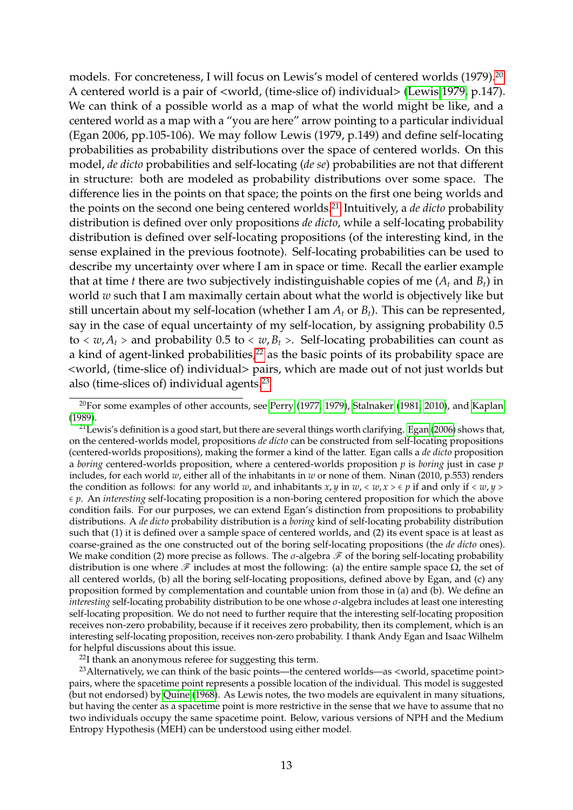models. For concreteness, I will focus on Lewis's model of centered worlds (1979).<sup>[20](#page-12-0)</sup> A centered world is a pair of <world, (time-slice of) individual> [\(Lewis 1979,](#page-33-6) p.147). We can think of a possible world as a map of what the world might be like, and a centered world as a map with a "you are here" arrow pointing to a particular individual (Egan 2006, pp.105-106). We may follow Lewis (1979, p.149) and define self-locating probabilities as probability distributions over the space of centered worlds. On this model, *de dicto* probabilities and self-locating (*de se*) probabilities are not that different in structure: both are modeled as probability distributions over some space. The difference lies in the points on that space; the points on the first one being worlds and the points on the second one being centered worlds.[21](#page-12-1) Intuitively, a *de dicto* probability distribution is defined over only propositions *de dicto*, while a self-locating probability distribution is defined over self-locating propositions (of the interesting kind, in the sense explained in the previous footnote). Self-locating probabilities can be used to describe my uncertainty over where I am in space or time. Recall the earlier example that at time *t* there are two subjectively indistinguishable copies of me  $(A_t$  and  $B_t$ ) in world *w* such that I am maximally certain about what the world is objectively like but still uncertain about my self-location (whether I am  $A_t$  or  $B_t$ ). This can be represented, say in the case of equal uncertainty of my self-location, by assigning probability 0.5 to  $\langle w, A_t \rangle$  and probability 0.5 to  $\langle w, B_t \rangle$ . Self-locating probabilities can count as a kind of agent-linked probabilities, $2<sup>2</sup>$  as the basic points of its probability space are <world, (time-slice of) individual> pairs, which are made out of not just worlds but also (time-slices of) individual agents.[23](#page-12-3)

<span id="page-12-3"></span><span id="page-12-2"></span> $22$ I thank an anonymous referee for suggesting this term.

<sup>23</sup> Alternatively, we can think of the basic points—the centered worlds—as <world, spacetime point> pairs, where the spacetime point represents a possible location of the individual. This model is suggested (but not endorsed) by [Quine](#page-34-11) [\(1968\)](#page-34-11). As Lewis notes, the two models are equivalent in many situations, but having the center as a spacetime point is more restrictive in the sense that we have to assume that no two individuals occupy the same spacetime point. Below, various versions of NPH and the Medium Entropy Hypothesis (MEH) can be understood using either model.

<span id="page-12-0"></span> $20$ For some examples of other accounts, see [Perry](#page-34-7) [\(1977,](#page-34-7) [1979\)](#page-34-8), [Stalnaker](#page-34-9) [\(1981,](#page-34-9) [2010\)](#page-34-10), and [Kaplan](#page-33-10) [\(1989\)](#page-33-10).

<span id="page-12-1"></span><sup>&</sup>lt;sup>21</sup> Lewis's definition is a good start, but there are several things worth clarifying. [Egan](#page-32-8) [\(2006\)](#page-32-8) shows that, on the centered-worlds model, propositions *de dicto* can be constructed from self-locating propositions (centered-worlds propositions), making the former a kind of the latter. Egan calls a *de dicto* proposition a *boring* centered-worlds proposition, where a centered-worlds proposition *p* is *boring* just in case *p* includes, for each world *w*, either all of the inhabitants in *w* or none of them. Ninan (2010, p.553) renders the condition as follows: for any world *w*, and inhabitants *x*, *y* in *w*,  $\langle w, x \rangle \in p$  if and only if  $\langle w, y \rangle$ ∈ *p*. An *interesting* self-locating proposition is a non-boring centered proposition for which the above condition fails. For our purposes, we can extend Egan's distinction from propositions to probability distributions. A *de dicto* probability distribution is a *boring* kind of self-locating probability distribution such that (1) it is defined over a sample space of centered worlds, and (2) its event space is at least as coarse-grained as the one constructed out of the boring self-locating propositions (the *de dicto* ones). We make condition (2) more precise as follows. The  $\sigma$ -algebra  $\mathscr F$  of the boring self-locating probability distribution is one where  $\mathscr F$  includes at most the following: (a) the entire sample space  $\Omega$ , the set of all centered worlds, (b) all the boring self-locating propositions, defined above by Egan, and (c) any proposition formed by complementation and countable union from those in (a) and (b). We define an *interesting* self-locating probability distribution to be one whose σ-algebra includes at least one interesting self-locating proposition. We do not need to further require that the interesting self-locating proposition receives non-zero probability, because if it receives zero probability, then its complement, which is an interesting self-locating proposition, receives non-zero probability. I thank Andy Egan and Isaac Wilhelm for helpful discussions about this issue.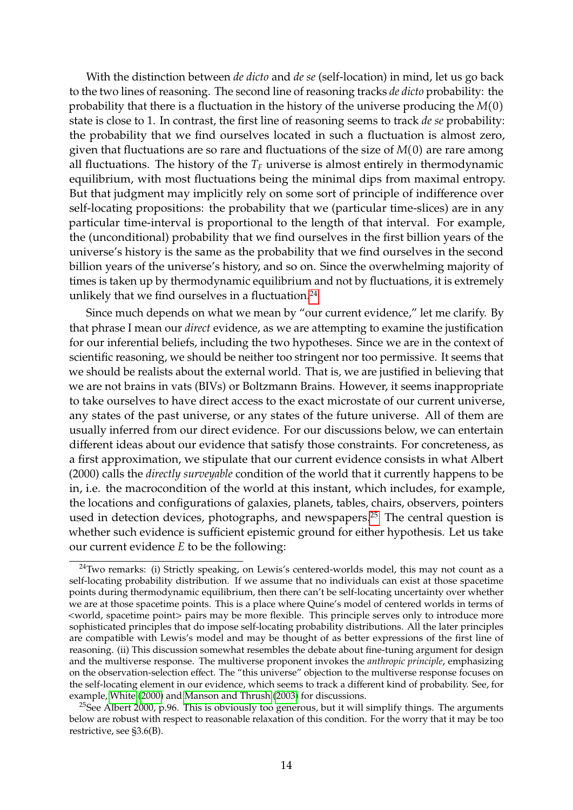With the distinction between *de dicto* and *de se* (self-location) in mind, let us go back to the two lines of reasoning. The second line of reasoning tracks *de dicto* probability: the probability that there is a fluctuation in the history of the universe producing the *M*(0) state is close to 1. In contrast, the first line of reasoning seems to track *de se* probability: the probability that we find ourselves located in such a fluctuation is almost zero, given that fluctuations are so rare and fluctuations of the size of *M*(0) are rare among all fluctuations. The history of the  $T_F$  universe is almost entirely in thermodynamic equilibrium, with most fluctuations being the minimal dips from maximal entropy. But that judgment may implicitly rely on some sort of principle of indifference over self-locating propositions: the probability that we (particular time-slices) are in any particular time-interval is proportional to the length of that interval. For example, the (unconditional) probability that we find ourselves in the first billion years of the universe's history is the same as the probability that we find ourselves in the second billion years of the universe's history, and so on. Since the overwhelming majority of times is taken up by thermodynamic equilibrium and not by fluctuations, it is extremely unlikely that we find ourselves in a fluctuation.<sup>[24](#page-13-0)</sup>

Since much depends on what we mean by "our current evidence," let me clarify. By that phrase I mean our *direct* evidence, as we are attempting to examine the justification for our inferential beliefs, including the two hypotheses. Since we are in the context of scientific reasoning, we should be neither too stringent nor too permissive. It seems that we should be realists about the external world. That is, we are justified in believing that we are not brains in vats (BIVs) or Boltzmann Brains. However, it seems inappropriate to take ourselves to have direct access to the exact microstate of our current universe, any states of the past universe, or any states of the future universe. All of them are usually inferred from our direct evidence. For our discussions below, we can entertain different ideas about our evidence that satisfy those constraints. For concreteness, as a first approximation, we stipulate that our current evidence consists in what Albert (2000) calls the *directly surveyable* condition of the world that it currently happens to be in, i.e. the macrocondition of the world at this instant, which includes, for example, the locations and configurations of galaxies, planets, tables, chairs, observers, pointers used in detection devices, photographs, and newspapers.<sup>[25](#page-13-1)</sup> The central question is whether such evidence is sufficient epistemic ground for either hypothesis. Let us take our current evidence *E* to be the following:

<span id="page-13-0"></span> $24$ Two remarks: (i) Strictly speaking, on Lewis's centered-worlds model, this may not count as a self-locating probability distribution. If we assume that no individuals can exist at those spacetime points during thermodynamic equilibrium, then there can't be self-locating uncertainty over whether we are at those spacetime points. This is a place where Quine's model of centered worlds in terms of <world, spacetime point> pairs may be more flexible. This principle serves only to introduce more sophisticated principles that do impose self-locating probability distributions. All the later principles are compatible with Lewis's model and may be thought of as better expressions of the first line of reasoning. (ii) This discussion somewhat resembles the debate about fine-tuning argument for design and the multiverse response. The multiverse proponent invokes the *anthropic principle*, emphasizing on the observation-selection effect. The "this universe" objection to the multiverse response focuses on the self-locating element in our evidence, which seems to track a different kind of probability. See, for example, [White](#page-34-12) [\(2000\)](#page-34-12) and [Manson and Thrush](#page-33-11) [\(2003\)](#page-33-11) for discussions.

<span id="page-13-1"></span><sup>&</sup>lt;sup>25</sup>See Albert 2000, p.96. This is obviously too generous, but it will simplify things. The arguments below are robust with respect to reasonable relaxation of this condition. For the worry that it may be too restrictive, see §3.6(B).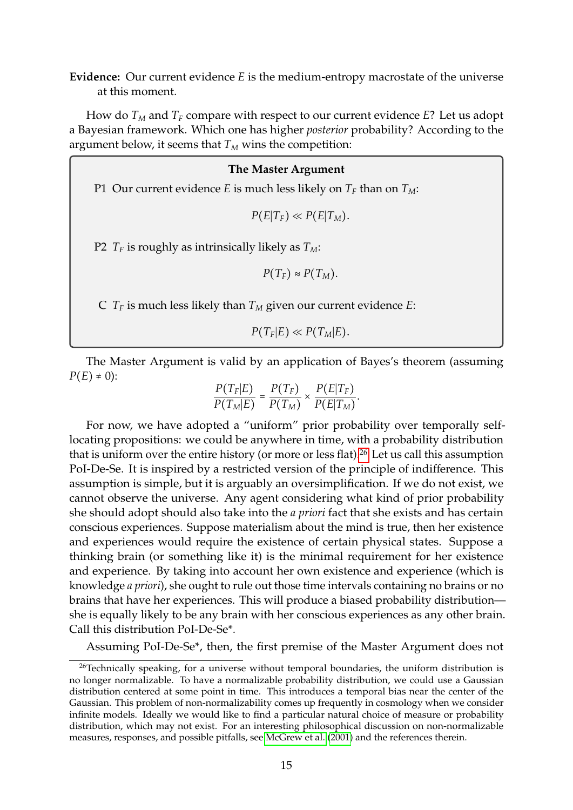**Evidence:** Our current evidence *E* is the medium-entropy macrostate of the universe at this moment.

How do  $T_M$  and  $T_F$  compare with respect to our current evidence  $E$ ? Let us adopt a Bayesian framework. Which one has higher *posterior* probability? According to the argument below, it seems that  $T_M$  wins the competition:

### **The Master Argument**

P1 Our current evidence *E* is much less likely on  $T_F$  than on  $T_M$ :

 $P(E|T_F) \ll P(E|T_M)$ .

P2  $T_F$  is roughly as intrinsically likely as  $T_M$ :

 $P(T_F) \approx P(T_M)$ .

C  $T_F$  is much less likely than  $T_M$  given our current evidence *E*:

 $P(T_F|E) \ll P(T_M|E)$ .

The Master Argument is valid by an application of Bayes's theorem (assuming  $P(E) \neq 0$ :

$$
\frac{P(T_F|E)}{P(T_M|E)} = \frac{P(T_F)}{P(T_M)} \times \frac{P(E|T_F)}{P(E|T_M)}.
$$

For now, we have adopted a "uniform" prior probability over temporally selflocating propositions: we could be anywhere in time, with a probability distribution that is uniform over the entire history (or more or less flat).<sup>[26](#page-14-0)</sup> Let us call this assumption PoI-De-Se. It is inspired by a restricted version of the principle of indifference. This assumption is simple, but it is arguably an oversimplification. If we do not exist, we cannot observe the universe. Any agent considering what kind of prior probability she should adopt should also take into the *a priori* fact that she exists and has certain conscious experiences. Suppose materialism about the mind is true, then her existence and experiences would require the existence of certain physical states. Suppose a thinking brain (or something like it) is the minimal requirement for her existence and experience. By taking into account her own existence and experience (which is knowledge *a priori*), she ought to rule out those time intervals containing no brains or no brains that have her experiences. This will produce a biased probability distribution she is equally likely to be any brain with her conscious experiences as any other brain. Call this distribution PoI-De-Se\*.

<span id="page-14-0"></span>Assuming PoI-De-Se\*, then, the first premise of the Master Argument does not

 $26$ Technically speaking, for a universe without temporal boundaries, the uniform distribution is no longer normalizable. To have a normalizable probability distribution, we could use a Gaussian distribution centered at some point in time. This introduces a temporal bias near the center of the Gaussian. This problem of non-normalizability comes up frequently in cosmology when we consider infinite models. Ideally we would like to find a particular natural choice of measure or probability distribution, which may not exist. For an interesting philosophical discussion on non-normalizable measures, responses, and possible pitfalls, see [McGrew et al.](#page-33-12) [\(2001\)](#page-33-12) and the references therein.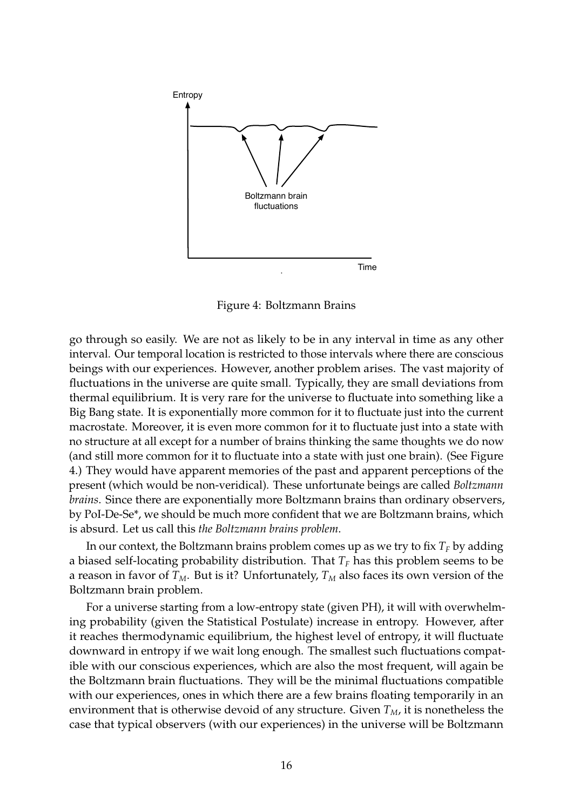

Figure 4: Boltzmann Brains

go through so easily. We are not as likely to be in any interval in time as any other interval. Our temporal location is restricted to those intervals where there are conscious beings with our experiences. However, another problem arises. The vast majority of fluctuations in the universe are quite small. Typically, they are small deviations from thermal equilibrium. It is very rare for the universe to fluctuate into something like a Big Bang state. It is exponentially more common for it to fluctuate just into the current macrostate. Moreover, it is even more common for it to fluctuate just into a state with no structure at all except for a number of brains thinking the same thoughts we do now (and still more common for it to fluctuate into a state with just one brain). (See Figure 4.) They would have apparent memories of the past and apparent perceptions of the present (which would be non-veridical). These unfortunate beings are called *Boltzmann brains*. Since there are exponentially more Boltzmann brains than ordinary observers, by PoI-De-Se\*, we should be much more confident that we are Boltzmann brains, which is absurd. Let us call this *the Boltzmann brains problem*.

In our context, the Boltzmann brains problem comes up as we try to fix  $T_F$  by adding a biased self-locating probability distribution. That  $T_F$  has this problem seems to be a reason in favor of  $T_M$ . But is it? Unfortunately,  $T_M$  also faces its own version of the Boltzmann brain problem.

For a universe starting from a low-entropy state (given PH), it will with overwhelming probability (given the Statistical Postulate) increase in entropy. However, after it reaches thermodynamic equilibrium, the highest level of entropy, it will fluctuate downward in entropy if we wait long enough. The smallest such fluctuations compatible with our conscious experiences, which are also the most frequent, will again be the Boltzmann brain fluctuations. They will be the minimal fluctuations compatible with our experiences, ones in which there are a few brains floating temporarily in an environment that is otherwise devoid of any structure. Given *TM*, it is nonetheless the case that typical observers (with our experiences) in the universe will be Boltzmann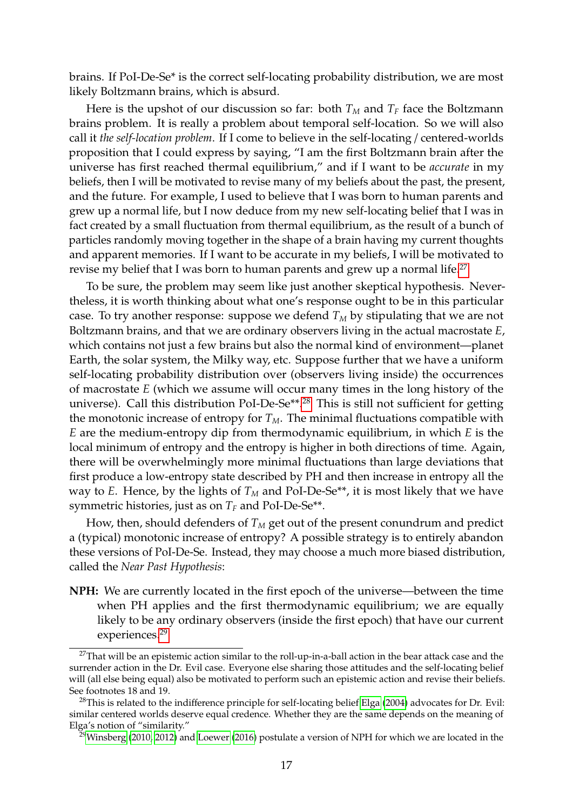brains. If PoI-De-Se\* is the correct self-locating probability distribution, we are most likely Boltzmann brains, which is absurd.

Here is the upshot of our discussion so far: both  $T_M$  and  $T_F$  face the Boltzmann brains problem. It is really a problem about temporal self-location. So we will also call it *the self-location problem*. If I come to believe in the self-locating / centered-worlds proposition that I could express by saying, "I am the first Boltzmann brain after the universe has first reached thermal equilibrium," and if I want to be *accurate* in my beliefs, then I will be motivated to revise many of my beliefs about the past, the present, and the future. For example, I used to believe that I was born to human parents and grew up a normal life, but I now deduce from my new self-locating belief that I was in fact created by a small fluctuation from thermal equilibrium, as the result of a bunch of particles randomly moving together in the shape of a brain having my current thoughts and apparent memories. If I want to be accurate in my beliefs, I will be motivated to revise my belief that I was born to human parents and grew up a normal life.<sup>[27](#page-16-0)</sup>

To be sure, the problem may seem like just another skeptical hypothesis. Nevertheless, it is worth thinking about what one's response ought to be in this particular case. To try another response: suppose we defend  $T_M$  by stipulating that we are not Boltzmann brains, and that we are ordinary observers living in the actual macrostate *E*, which contains not just a few brains but also the normal kind of environment—planet Earth, the solar system, the Milky way, etc. Suppose further that we have a uniform self-locating probability distribution over (observers living inside) the occurrences of macrostate *E* (which we assume will occur many times in the long history of the universe). Call this distribution PoI-De-Se\*\*.[28](#page-16-1) This is still not sufficient for getting the monotonic increase of entropy for  $T_M$ . The minimal fluctuations compatible with *E* are the medium-entropy dip from thermodynamic equilibrium, in which *E* is the local minimum of entropy and the entropy is higher in both directions of time. Again, there will be overwhelmingly more minimal fluctuations than large deviations that first produce a low-entropy state described by PH and then increase in entropy all the way to *E*. Hence, by the lights of  $T_M$  and PoI-De-Se<sup>\*\*</sup>, it is most likely that we have symmetric histories, just as on  $T_F$  and PoI-De-Se<sup>\*\*</sup>.

How, then, should defenders of  $T_M$  get out of the present conundrum and predict a (typical) monotonic increase of entropy? A possible strategy is to entirely abandon these versions of PoI-De-Se. Instead, they may choose a much more biased distribution, called the *Near Past Hypothesis*:

**NPH:** We are currently located in the first epoch of the universe—between the time when PH applies and the first thermodynamic equilibrium; we are equally likely to be any ordinary observers (inside the first epoch) that have our current experiences.<sup>[29](#page-16-2)</sup>

<span id="page-16-0"></span><sup>&</sup>lt;sup>27</sup>That will be an epistemic action similar to the roll-up-in-a-ball action in the bear attack case and the surrender action in the Dr. Evil case. Everyone else sharing those attitudes and the self-locating belief will (all else being equal) also be motivated to perform such an epistemic action and revise their beliefs. See footnotes 18 and 19.

<span id="page-16-1"></span> $28$ This is related to the indifference principle for self-locating belief [Elga](#page-32-9) [\(2004\)](#page-32-9) advocates for Dr. Evil: similar centered worlds deserve equal credence. Whether they are the same depends on the meaning of Elga's notion of "similarity."

<span id="page-16-2"></span><sup>&</sup>lt;sup>29</sup>[Winsberg](#page-34-3) [\(2010,](#page-34-3) [2012\)](#page-34-4) and [Loewer](#page-33-2) [\(2016\)](#page-33-2) postulate a version of NPH for which we are located in the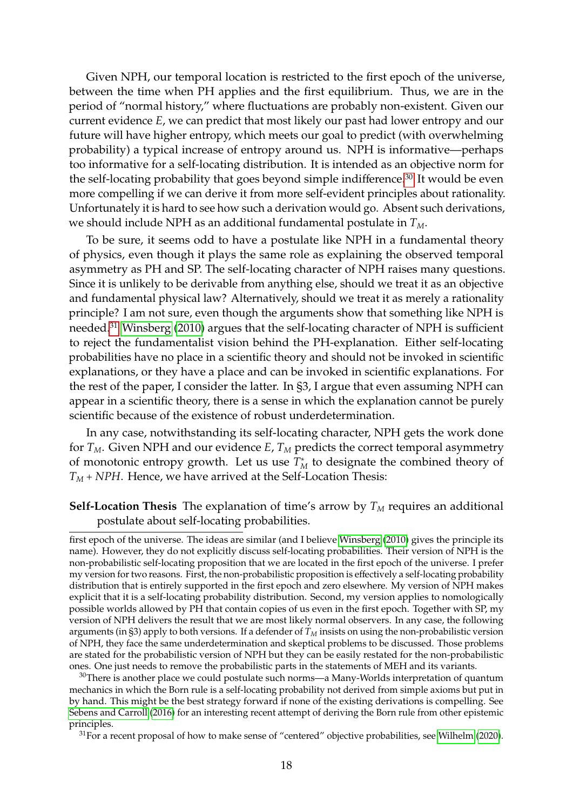Given NPH, our temporal location is restricted to the first epoch of the universe, between the time when PH applies and the first equilibrium. Thus, we are in the period of "normal history," where fluctuations are probably non-existent. Given our current evidence *E*, we can predict that most likely our past had lower entropy and our future will have higher entropy, which meets our goal to predict (with overwhelming probability) a typical increase of entropy around us. NPH is informative—perhaps too informative for a self-locating distribution. It is intended as an objective norm for the self-locating probability that goes beyond simple indifference.[30](#page-17-0) It would be even more compelling if we can derive it from more self-evident principles about rationality. Unfortunately it is hard to see how such a derivation would go. Absent such derivations, we should include NPH as an additional fundamental postulate in *TM*.

To be sure, it seems odd to have a postulate like NPH in a fundamental theory of physics, even though it plays the same role as explaining the observed temporal asymmetry as PH and SP. The self-locating character of NPH raises many questions. Since it is unlikely to be derivable from anything else, should we treat it as an objective and fundamental physical law? Alternatively, should we treat it as merely a rationality principle? I am not sure, even though the arguments show that something like NPH is needed.[31](#page-17-1) [Winsberg](#page-34-3) [\(2010\)](#page-34-3) argues that the self-locating character of NPH is sufficient to reject the fundamentalist vision behind the PH-explanation. Either self-locating probabilities have no place in a scientific theory and should not be invoked in scientific explanations, or they have a place and can be invoked in scientific explanations. For the rest of the paper, I consider the latter. In §3, I argue that even assuming NPH can appear in a scientific theory, there is a sense in which the explanation cannot be purely scientific because of the existence of robust underdetermination.

In any case, notwithstanding its self-locating character, NPH gets the work done for  $T_M$ . Given NPH and our evidence  $E$ ,  $T_M$  predicts the correct temporal asymmetry of monotonic entropy growth. Let us use  $T_M^*$  to designate the combined theory of *T<sup>M</sup>* + *NPH*. Hence, we have arrived at the Self-Location Thesis:

### **Self-Location Thesis** The explanation of time's arrow by  $T_M$  requires an additional postulate about self-locating probabilities.

first epoch of the universe. The ideas are similar (and I believe [Winsberg](#page-34-3) [\(2010\)](#page-34-3) gives the principle its name). However, they do not explicitly discuss self-locating probabilities. Their version of NPH is the non-probabilistic self-locating proposition that we are located in the first epoch of the universe. I prefer my version for two reasons. First, the non-probabilistic proposition is effectively a self-locating probability distribution that is entirely supported in the first epoch and zero elsewhere. My version of NPH makes explicit that it is a self-locating probability distribution. Second, my version applies to nomologically possible worlds allowed by PH that contain copies of us even in the first epoch. Together with SP, my version of NPH delivers the result that we are most likely normal observers. In any case, the following arguments (in §3) apply to both versions. If a defender of  $T_M$  insists on using the non-probabilistic version of NPH, they face the same underdetermination and skeptical problems to be discussed. Those problems are stated for the probabilistic version of NPH but they can be easily restated for the non-probabilistic ones. One just needs to remove the probabilistic parts in the statements of MEH and its variants.

<span id="page-17-0"></span> $30$ There is another place we could postulate such norms—a Many-Worlds interpretation of quantum mechanics in which the Born rule is a self-locating probability not derived from simple axioms but put in by hand. This might be the best strategy forward if none of the existing derivations is compelling. See [Sebens and Carroll](#page-34-13) [\(2016\)](#page-34-13) for an interesting recent attempt of deriving the Born rule from other epistemic principles.

<span id="page-17-1"></span> $31$  For a recent proposal of how to make sense of "centered" objective probabilities, see [Wilhelm](#page-34-14) [\(2020\)](#page-34-14).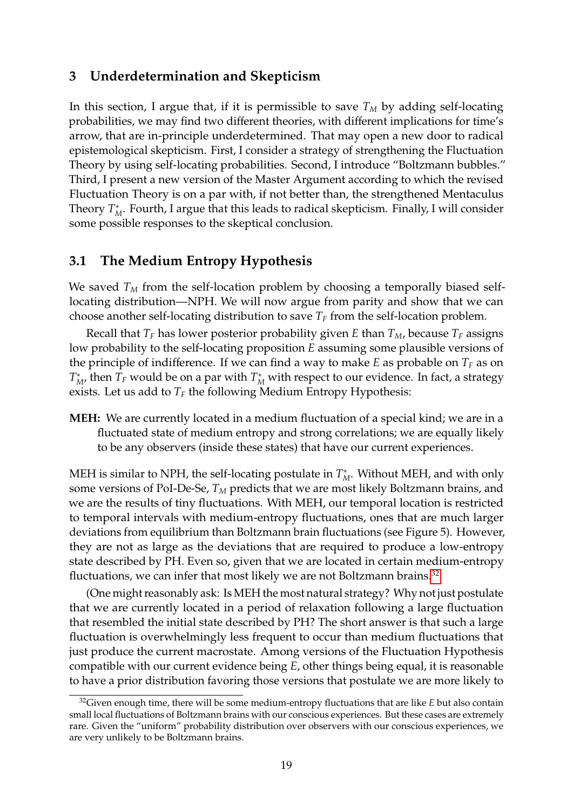## <span id="page-18-0"></span>**3 Underdetermination and Skepticism**

In this section, I argue that, if it is permissible to save  $T_M$  by adding self-locating probabilities, we may find two different theories, with different implications for time's arrow, that are in-principle underdetermined. That may open a new door to radical epistemological skepticism. First, I consider a strategy of strengthening the Fluctuation Theory by using self-locating probabilities. Second, I introduce "Boltzmann bubbles." Third, I present a new version of the Master Argument according to which the revised Fluctuation Theory is on a par with, if not better than, the strengthened Mentaculus Theory  $T^*_M$ . Fourth, I argue that this leads to radical skepticism. Finally, I will consider some possible responses to the skeptical conclusion.

## <span id="page-18-1"></span>**3.1 The Medium Entropy Hypothesis**

We saved  $T_M$  from the self-location problem by choosing a temporally biased selflocating distribution—NPH. We will now argue from parity and show that we can choose another self-locating distribution to save  $T_F$  from the self-location problem.

Recall that  $T_F$  has lower posterior probability given *E* than  $T_M$ , because  $T_F$  assigns low probability to the self-locating proposition *E* assuming some plausible versions of the principle of indifference. If we can find a way to make  $E$  as probable on  $T_F$  as on  $T^*_{M}$ , then  $T_F$  would be on a par with  $T^*_{M}$  with respect to our evidence. In fact, a strategy exists. Let us add to  $T_F$  the following Medium Entropy Hypothesis:

**MEH:** We are currently located in a medium fluctuation of a special kind; we are in a fluctuated state of medium entropy and strong correlations; we are equally likely to be any observers (inside these states) that have our current experiences.

MEH is similar to NPH, the self-locating postulate in  $T_M^*$ . Without MEH, and with only some versions of PoI-De-Se, *T<sup>M</sup>* predicts that we are most likely Boltzmann brains, and we are the results of tiny fluctuations. With MEH, our temporal location is restricted to temporal intervals with medium-entropy fluctuations, ones that are much larger deviations from equilibrium than Boltzmann brain fluctuations (see Figure 5). However, they are not as large as the deviations that are required to produce a low-entropy state described by PH. Even so, given that we are located in certain medium-entropy fluctuations, we can infer that most likely we are not Boltzmann brains.<sup>[32](#page-18-2)</sup>

(One might reasonably ask: Is MEH the most natural strategy? Why not just postulate that we are currently located in a period of relaxation following a large fluctuation that resembled the initial state described by PH? The short answer is that such a large fluctuation is overwhelmingly less frequent to occur than medium fluctuations that just produce the current macrostate. Among versions of the Fluctuation Hypothesis compatible with our current evidence being *E*, other things being equal, it is reasonable to have a prior distribution favoring those versions that postulate we are more likely to

<span id="page-18-2"></span><sup>32</sup>Given enough time, there will be some medium-entropy fluctuations that are like *E* but also contain small local fluctuations of Boltzmann brains with our conscious experiences. But these cases are extremely rare. Given the "uniform" probability distribution over observers with our conscious experiences, we are very unlikely to be Boltzmann brains.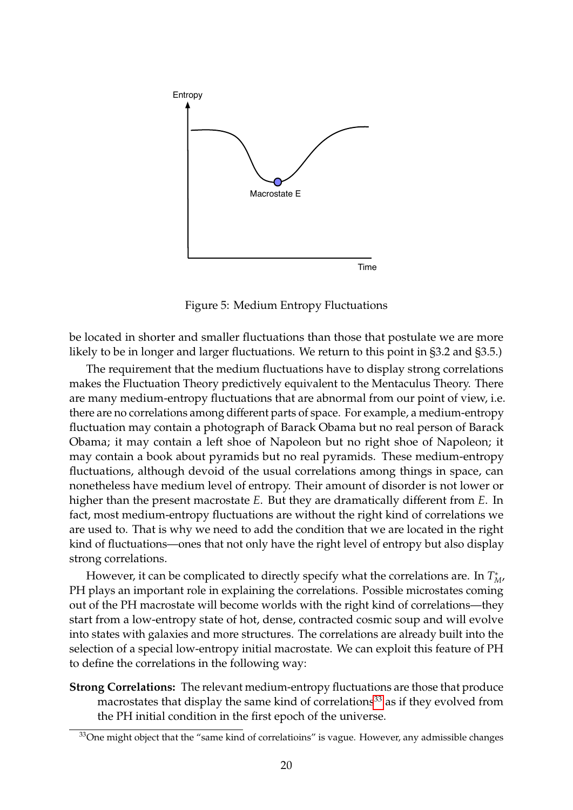

Figure 5: Medium Entropy Fluctuations

be located in shorter and smaller fluctuations than those that postulate we are more likely to be in longer and larger fluctuations. We return to this point in §3.2 and §3.5.)

The requirement that the medium fluctuations have to display strong correlations makes the Fluctuation Theory predictively equivalent to the Mentaculus Theory. There are many medium-entropy fluctuations that are abnormal from our point of view, i.e. there are no correlations among different parts of space. For example, a medium-entropy fluctuation may contain a photograph of Barack Obama but no real person of Barack Obama; it may contain a left shoe of Napoleon but no right shoe of Napoleon; it may contain a book about pyramids but no real pyramids. These medium-entropy fluctuations, although devoid of the usual correlations among things in space, can nonetheless have medium level of entropy. Their amount of disorder is not lower or higher than the present macrostate *E*. But they are dramatically different from *E*. In fact, most medium-entropy fluctuations are without the right kind of correlations we are used to. That is why we need to add the condition that we are located in the right kind of fluctuations—ones that not only have the right level of entropy but also display strong correlations.

However, it can be complicated to directly specify what the correlations are. In *T* ∗ *M*, PH plays an important role in explaining the correlations. Possible microstates coming out of the PH macrostate will become worlds with the right kind of correlations—they start from a low-entropy state of hot, dense, contracted cosmic soup and will evolve into states with galaxies and more structures. The correlations are already built into the selection of a special low-entropy initial macrostate. We can exploit this feature of PH to define the correlations in the following way:

**Strong Correlations:** The relevant medium-entropy fluctuations are those that produce macrostates that display the same kind of correlations<sup>[33](#page-19-0)</sup> as if they evolved from the PH initial condition in the first epoch of the universe.

<span id="page-19-0"></span><sup>&</sup>lt;sup>33</sup>One might object that the "same kind of correlatioins" is vague. However, any admissible changes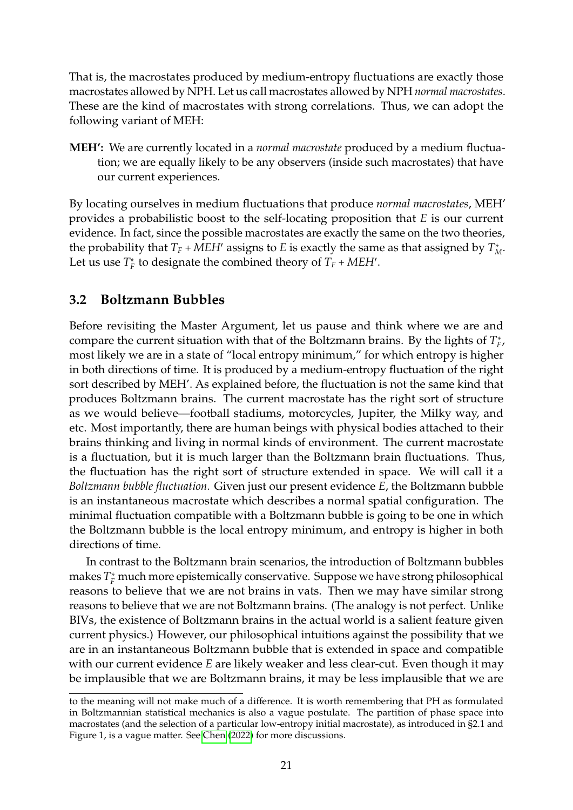That is, the macrostates produced by medium-entropy fluctuations are exactly those macrostates allowed by NPH. Let us call macrostates allowed by NPH *normal macrostates*. These are the kind of macrostates with strong correlations. Thus, we can adopt the following variant of MEH:

**MEH':** We are currently located in a *normal macrostate* produced by a medium fluctuation; we are equally likely to be any observers (inside such macrostates) that have our current experiences.

By locating ourselves in medium fluctuations that produce *normal macrostates*, MEH' provides a probabilistic boost to the self-locating proposition that *E* is our current evidence. In fact, since the possible macrostates are exactly the same on the two theories, the probability that  $T_F$  + *MEH*<sup> $\prime$ </sup> assigns to *E* is exactly the same as that assigned by  $T_M^*$ . Let us use  $T_F^*$  to designate the combined theory of  $T_F + MEH'$ .

## <span id="page-20-0"></span>**3.2 Boltzmann Bubbles**

Before revisiting the Master Argument, let us pause and think where we are and compare the current situation with that of the Boltzmann brains. By the lights of *T* ∗ *F* , most likely we are in a state of "local entropy minimum," for which entropy is higher in both directions of time. It is produced by a medium-entropy fluctuation of the right sort described by MEH'. As explained before, the fluctuation is not the same kind that produces Boltzmann brains. The current macrostate has the right sort of structure as we would believe—football stadiums, motorcycles, Jupiter, the Milky way, and etc. Most importantly, there are human beings with physical bodies attached to their brains thinking and living in normal kinds of environment. The current macrostate is a fluctuation, but it is much larger than the Boltzmann brain fluctuations. Thus, the fluctuation has the right sort of structure extended in space. We will call it a *Boltzmann bubble fluctuation.* Given just our present evidence *E*, the Boltzmann bubble is an instantaneous macrostate which describes a normal spatial configuration. The minimal fluctuation compatible with a Boltzmann bubble is going to be one in which the Boltzmann bubble is the local entropy minimum, and entropy is higher in both directions of time.

In contrast to the Boltzmann brain scenarios, the introduction of Boltzmann bubbles makes  $T_F^*$  much more epistemically conservative. Suppose we have strong philosophical reasons to believe that we are not brains in vats. Then we may have similar strong reasons to believe that we are not Boltzmann brains. (The analogy is not perfect. Unlike BIVs, the existence of Boltzmann brains in the actual world is a salient feature given current physics.) However, our philosophical intuitions against the possibility that we are in an instantaneous Boltzmann bubble that is extended in space and compatible with our current evidence *E* are likely weaker and less clear-cut. Even though it may be implausible that we are Boltzmann brains, it may be less implausible that we are

to the meaning will not make much of a difference. It is worth remembering that PH as formulated in Boltzmannian statistical mechanics is also a vague postulate. The partition of phase space into macrostates (and the selection of a particular low-entropy initial macrostate), as introduced in §2.1 and Figure 1, is a vague matter. See [Chen](#page-32-4) [\(2022\)](#page-32-4) for more discussions.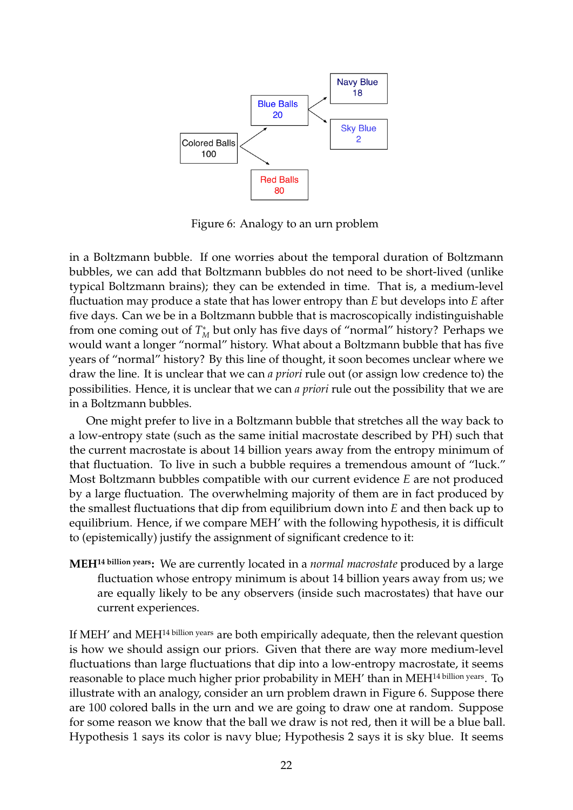

Figure 6: Analogy to an urn problem

in a Boltzmann bubble. If one worries about the temporal duration of Boltzmann bubbles, we can add that Boltzmann bubbles do not need to be short-lived (unlike typical Boltzmann brains); they can be extended in time. That is, a medium-level fluctuation may produce a state that has lower entropy than *E* but develops into *E* after five days. Can we be in a Boltzmann bubble that is macroscopically indistinguishable from one coming out of  $T_M^*$  but only has five days of "normal" history? Perhaps we would want a longer "normal" history. What about a Boltzmann bubble that has five years of "normal" history? By this line of thought, it soon becomes unclear where we draw the line. It is unclear that we can *a priori* rule out (or assign low credence to) the possibilities. Hence, it is unclear that we can *a priori* rule out the possibility that we are in a Boltzmann bubbles.

One might prefer to live in a Boltzmann bubble that stretches all the way back to a low-entropy state (such as the same initial macrostate described by PH) such that the current macrostate is about 14 billion years away from the entropy minimum of that fluctuation. To live in such a bubble requires a tremendous amount of "luck." Most Boltzmann bubbles compatible with our current evidence *E* are not produced by a large fluctuation. The overwhelming majority of them are in fact produced by the smallest fluctuations that dip from equilibrium down into *E* and then back up to equilibrium. Hence, if we compare MEH' with the following hypothesis, it is difficult to (epistemically) justify the assignment of significant credence to it:

**MEH14 billion years:** We are currently located in a *normal macrostate* produced by a large fluctuation whose entropy minimum is about 14 billion years away from us; we are equally likely to be any observers (inside such macrostates) that have our current experiences.

If MEH' and MEH<sup>14 billion years</sup> are both empirically adequate, then the relevant question is how we should assign our priors. Given that there are way more medium-level fluctuations than large fluctuations that dip into a low-entropy macrostate, it seems reasonable to place much higher prior probability in MEH' than in MEH14 billion years. To illustrate with an analogy, consider an urn problem drawn in Figure 6. Suppose there are 100 colored balls in the urn and we are going to draw one at random. Suppose for some reason we know that the ball we draw is not red, then it will be a blue ball. Hypothesis 1 says its color is navy blue; Hypothesis 2 says it is sky blue. It seems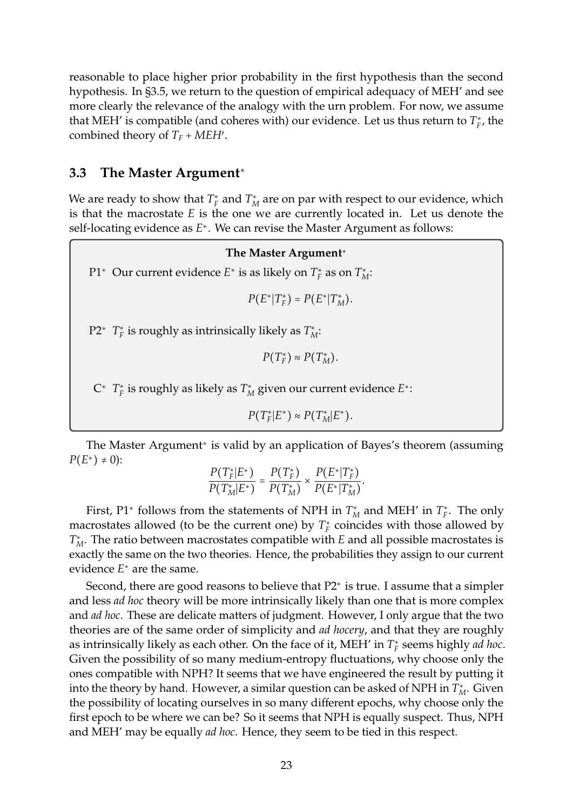reasonable to place higher prior probability in the first hypothesis than the second hypothesis. In §3.5, we return to the question of empirical adequacy of MEH' and see more clearly the relevance of the analogy with the urn problem. For now, we assume that MEH' is compatible (and coheres with) our evidence. Let us thus return to  $T_F^*$ , the combined theory of  $T_F + MEH'$ .

## <span id="page-22-0"></span>**3.3 The Master Argument**<sup>∗</sup>

We are ready to show that  $T_F^*$  and  $T_M^*$  are on par with respect to our evidence, which is that the macrostate *E* is the one we are currently located in. Let us denote the self-locating evidence as *E*<sup>∗</sup> . We can revise the Master Argument as follows:

### **The Master Argument**<sup>∗</sup>

P1<sup>∗</sup> Our current evidence *E*<sup>∗</sup> is as likely on  $T_F^*$  as on  $T_M^*$ :

$$
P(E^*|T_F^*)=P(E^*|T_M^*).
$$

P2<sup>∗</sup> *T*<sub>*F*</sub> is roughly as intrinsically likely as  $T_M^*$ :

 $P(T_F^*) \approx P(T_M^*)$ .

C<sup>∗</sup> *T* ∗ *F* is roughly as likely as *T* ∗ *<sup>M</sup>* given our current evidence *E*<sup>∗</sup> :

 $P(T_F^* | E^*) \approx P(T_M^* | E^*).$ 

The Master Argument<sup>∗</sup> is valid by an application of Bayes's theorem (assuming *P*( $E$ <sup>∗</sup>) ≠ 0):

$$
\frac{P(T_{F}^{*}|E^{*})}{P(T_{M}^{*}|E^{*})} = \frac{P(T_{F}^{*})}{P(T_{M}^{*})} \times \frac{P(E^{*}|T_{F}^{*})}{P(E^{*}|T_{M}^{*})}.
$$

First, P1<sup>∗</sup> follows from the statements of NPH in  $T_M^*$  and MEH' in  $T_F^*$ . The only macrostates allowed (to be the current one) by  $T_F^*$  coincides with those allowed by  $T_M^*$ . The ratio between macrostates compatible with *E* and all possible macrostates is exactly the same on the two theories. Hence, the probabilities they assign to our current evidence *E*<sup>∗</sup> are the same.

Second, there are good reasons to believe that P2<sup>∗</sup> is true. I assume that a simpler and less *ad hoc* theory will be more intrinsically likely than one that is more complex and *ad hoc*. These are delicate matters of judgment. However, I only argue that the two theories are of the same order of simplicity and *ad hocery*, and that they are roughly as intrinsically likely as each other. On the face of it, MEH' in *T* ∗ *F* seems highly *ad hoc*. Given the possibility of so many medium-entropy fluctuations, why choose only the ones compatible with NPH? It seems that we have engineered the result by putting it into the theory by hand. However, a similar question can be asked of NPH in  $T_M^*$ . Given the possibility of locating ourselves in so many different epochs, why choose only the first epoch to be where we can be? So it seems that NPH is equally suspect. Thus, NPH and MEH' may be equally *ad hoc*. Hence, they seem to be tied in this respect.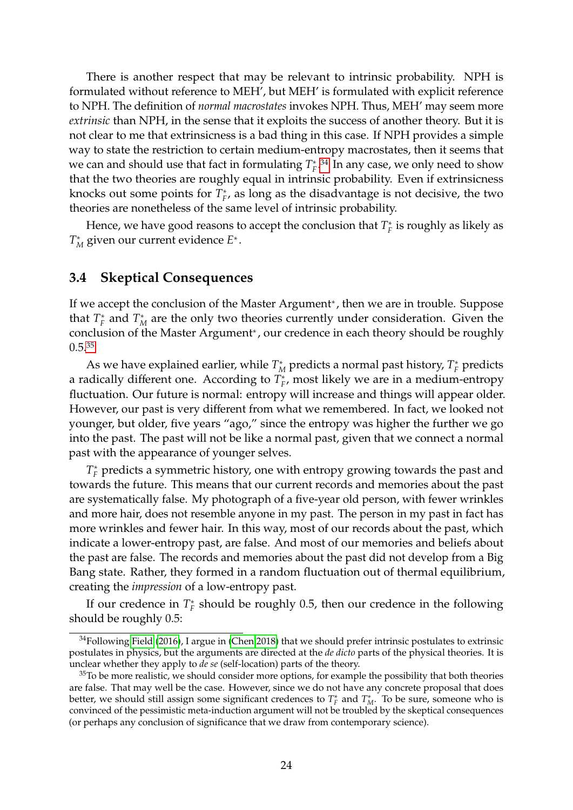There is another respect that may be relevant to intrinsic probability. NPH is formulated without reference to MEH', but MEH' is formulated with explicit reference to NPH. The definition of *normal macrostates* invokes NPH. Thus, MEH' may seem more *extrinsic* than NPH, in the sense that it exploits the success of another theory. But it is not clear to me that extrinsicness is a bad thing in this case. If NPH provides a simple way to state the restriction to certain medium-entropy macrostates, then it seems that we can and should use that fact in formulating  $T_F^*$ .<sup>[34](#page-23-1)</sup> In any case, we only need to show that the two theories are roughly equal in intrinsic probability. Even if extrinsicness knocks out some points for  $T_F^*$ , as long as the disadvantage is not decisive, the two theories are nonetheless of the same level of intrinsic probability.

Hence, we have good reasons to accept the conclusion that  $T_F^*$  is roughly as likely as *T* ∗ *<sup>M</sup>* given our current evidence *E*<sup>∗</sup> .

## <span id="page-23-0"></span>**3.4 Skeptical Consequences**

If we accept the conclusion of the Master Argument<sup>∗</sup> , then we are in trouble. Suppose that  $T_F^*$  and  $T_M^*$  are the only two theories currently under consideration. Given the conclusion of the Master Argument<sup>∗</sup> , our credence in each theory should be roughly 0.5.[35](#page-23-2)

As we have explained earlier, while  $T_M^*$  predicts a normal past history,  $T_F^*$  predicts a radically different one. According to  $T_F^*$ , most likely we are in a medium-entropy fluctuation. Our future is normal: entropy will increase and things will appear older. However, our past is very different from what we remembered. In fact, we looked not younger, but older, five years "ago," since the entropy was higher the further we go into the past. The past will not be like a normal past, given that we connect a normal past with the appearance of younger selves.

*T*<sup>∗</sup> predicts a symmetric history, one with entropy growing towards the past and towards the future. This means that our current records and memories about the past are systematically false. My photograph of a five-year old person, with fewer wrinkles and more hair, does not resemble anyone in my past. The person in my past in fact has more wrinkles and fewer hair. In this way, most of our records about the past, which indicate a lower-entropy past, are false. And most of our memories and beliefs about the past are false. The records and memories about the past did not develop from a Big Bang state. Rather, they formed in a random fluctuation out of thermal equilibrium, creating the *impression* of a low-entropy past.

If our credence in  $T_F^*$  should be roughly 0.5, then our credence in the following should be roughly 0.5:

<span id="page-23-1"></span> $34$ Following [Field](#page-32-10) [\(2016\)](#page-32-10), I argue in [\(Chen 2018\)](#page-32-11) that we should prefer intrinsic postulates to extrinsic postulates in physics, but the arguments are directed at the *de dicto* parts of the physical theories. It is unclear whether they apply to *de se* (self-location) parts of the theory.

<span id="page-23-2"></span> $35T<sub>O</sub>$  be more realistic, we should consider more options, for example the possibility that both theories are false. That may well be the case. However, since we do not have any concrete proposal that does better, we should still assign some significant credences to  $T_F^*$  and  $T_M^*$ . To be sure, someone who is convinced of the pessimistic meta-induction argument will not be troubled by the skeptical consequences (or perhaps any conclusion of significance that we draw from contemporary science).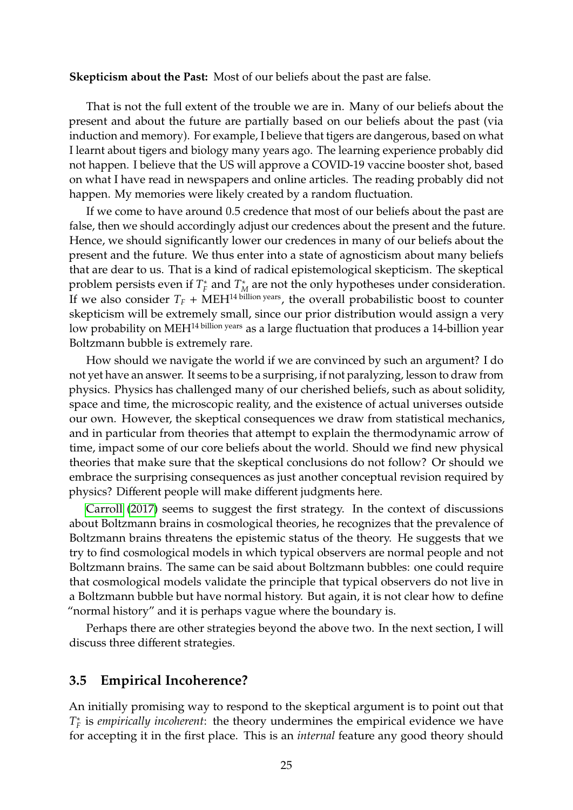#### **Skepticism about the Past:** Most of our beliefs about the past are false.

That is not the full extent of the trouble we are in. Many of our beliefs about the present and about the future are partially based on our beliefs about the past (via induction and memory). For example, I believe that tigers are dangerous, based on what I learnt about tigers and biology many years ago. The learning experience probably did not happen. I believe that the US will approve a COVID-19 vaccine booster shot, based on what I have read in newspapers and online articles. The reading probably did not happen. My memories were likely created by a random fluctuation.

If we come to have around 0.5 credence that most of our beliefs about the past are false, then we should accordingly adjust our credences about the present and the future. Hence, we should significantly lower our credences in many of our beliefs about the present and the future. We thus enter into a state of agnosticism about many beliefs that are dear to us. That is a kind of radical epistemological skepticism. The skeptical problem persists even if  $T_F^*$  and  $T_M^*$  are not the only hypotheses under consideration. If we also consider  $T_F$  + MEH<sup>14 billion years, the overall probabilistic boost to counter</sup> skepticism will be extremely small, since our prior distribution would assign a very low probability on MEH<sup>14 billion years</sup> as a large fluctuation that produces a 14-billion year Boltzmann bubble is extremely rare.

How should we navigate the world if we are convinced by such an argument? I do not yet have an answer. It seems to be a surprising, if not paralyzing, lesson to draw from physics. Physics has challenged many of our cherished beliefs, such as about solidity, space and time, the microscopic reality, and the existence of actual universes outside our own. However, the skeptical consequences we draw from statistical mechanics, and in particular from theories that attempt to explain the thermodynamic arrow of time, impact some of our core beliefs about the world. Should we find new physical theories that make sure that the skeptical conclusions do not follow? Or should we embrace the surprising consequences as just another conceptual revision required by physics? Different people will make different judgments here.

[Carroll](#page-31-3) [\(2017\)](#page-31-3) seems to suggest the first strategy. In the context of discussions about Boltzmann brains in cosmological theories, he recognizes that the prevalence of Boltzmann brains threatens the epistemic status of the theory. He suggests that we try to find cosmological models in which typical observers are normal people and not Boltzmann brains. The same can be said about Boltzmann bubbles: one could require that cosmological models validate the principle that typical observers do not live in a Boltzmann bubble but have normal history. But again, it is not clear how to define "normal history" and it is perhaps vague where the boundary is.

Perhaps there are other strategies beyond the above two. In the next section, I will discuss three different strategies.

### <span id="page-24-0"></span>**3.5 Empirical Incoherence?**

An initially promising way to respond to the skeptical argument is to point out that *T* ∗ *F* is *empirically incoherent*: the theory undermines the empirical evidence we have for accepting it in the first place. This is an *internal* feature any good theory should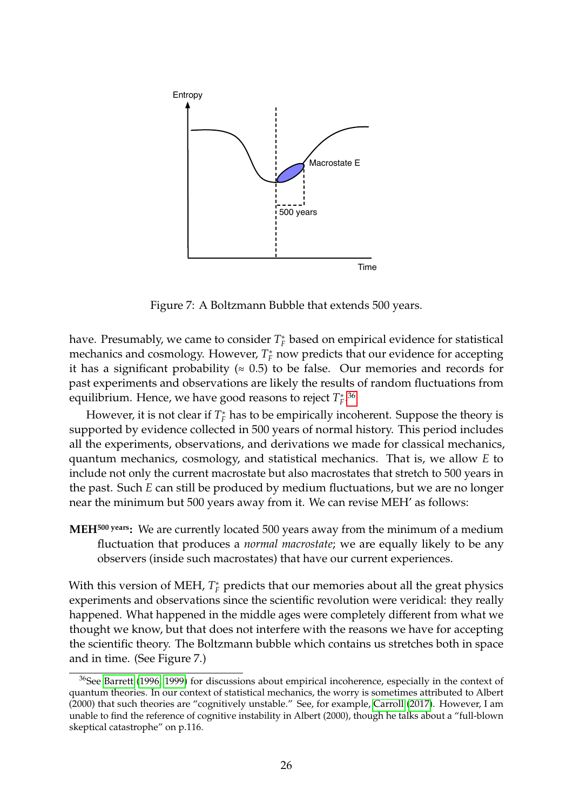

Figure 7: A Boltzmann Bubble that extends 500 years.

have. Presumably, we came to consider  $T_F^*$  based on empirical evidence for statistical mechanics and cosmology. However,  $T_F^*$  now predicts that our evidence for accepting it has a significant probability ( $\approx 0.5$ ) to be false. Our memories and records for past experiments and observations are likely the results of random fluctuations from equilibrium. Hence, we have good reasons to reject *T* ∗ *F* . [36](#page-25-0)

However, it is not clear if  $T_F^*$  has to be empirically incoherent. Suppose the theory is supported by evidence collected in 500 years of normal history. This period includes all the experiments, observations, and derivations we made for classical mechanics, quantum mechanics, cosmology, and statistical mechanics. That is, we allow *E* to include not only the current macrostate but also macrostates that stretch to 500 years in the past. Such *E* can still be produced by medium fluctuations, but we are no longer near the minimum but 500 years away from it. We can revise MEH' as follows:

**MEH500 years:** We are currently located 500 years away from the minimum of a medium fluctuation that produces a *normal macrostate*; we are equally likely to be any observers (inside such macrostates) that have our current experiences.

With this version of MEH,  $T_F^*$  predicts that our memories about all the great physics experiments and observations since the scientific revolution were veridical: they really happened. What happened in the middle ages were completely different from what we thought we know, but that does not interfere with the reasons we have for accepting the scientific theory. The Boltzmann bubble which contains us stretches both in space and in time. (See Figure 7.)

<span id="page-25-0"></span> $36$ See [Barrett](#page-31-5) [\(1996,](#page-31-5) [1999\)](#page-31-6) for discussions about empirical incoherence, especially in the context of quantum theories. In our context of statistical mechanics, the worry is sometimes attributed to Albert (2000) that such theories are "cognitively unstable." See, for example, [Carroll](#page-31-3) [\(2017\)](#page-31-3). However, I am unable to find the reference of cognitive instability in Albert (2000), though he talks about a "full-blown skeptical catastrophe" on p.116.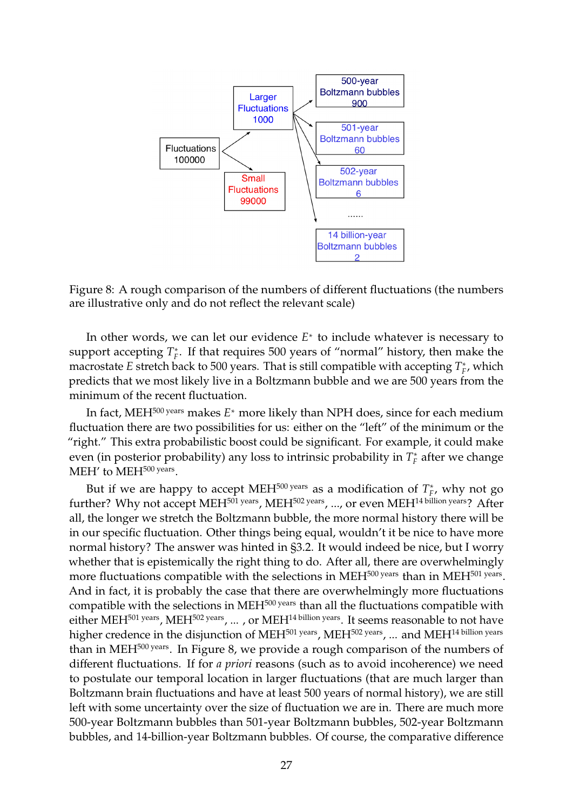

Figure 8: A rough comparison of the numbers of different fluctuations (the numbers are illustrative only and do not reflect the relevant scale)

In other words, we can let our evidence *E*<sup>∗</sup> to include whatever is necessary to support accepting  $T_F^*$ . If that requires 500 years of "normal" history, then make the macrostate *E* stretch back to 500 years. That is still compatible with accepting  $T_F^*$ , which predicts that we most likely live in a Boltzmann bubble and we are 500 years from the minimum of the recent fluctuation.

In fact, MEH500 years makes *E*<sup>∗</sup> more likely than NPH does, since for each medium fluctuation there are two possibilities for us: either on the "left" of the minimum or the "right." This extra probabilistic boost could be significant. For example, it could make even (in posterior probability) any loss to intrinsic probability in  $T_F^*$  after we change  $MEH'$  to  $MEH<sup>500</sup>$  years.

But if we are happy to accept MEH<sup>500 years</sup> as a modification of  $T_F^*$ , why not go further? Why not accept MEH<sup>501 years</sup>, MEH<sup>502 years</sup>, ..., or even MEH<sup>14 billion years? After</sup> all, the longer we stretch the Boltzmann bubble, the more normal history there will be in our specific fluctuation. Other things being equal, wouldn't it be nice to have more normal history? The answer was hinted in §3.2. It would indeed be nice, but I worry whether that is epistemically the right thing to do. After all, there are overwhelmingly more fluctuations compatible with the selections in MEH<sup>500 years</sup> than in MEH<sup>501 years</sup>. And in fact, it is probably the case that there are overwhelmingly more fluctuations compatible with the selections in MEH<sup>500 years</sup> than all the fluctuations compatible with either MEH<sup>501 years</sup>, MEH<sup>502 years</sup>, ..., or MEH<sup>14 billion years. It seems reasonable to not have</sup> higher credence in the disjunction of MEH<sup>501 years</sup>, MEH<sup>502 years</sup>, ... and MEH<sup>14 billion years</sup> than in MEH<sup>500 years</sup>. In Figure 8, we provide a rough comparison of the numbers of different fluctuations. If for *a priori* reasons (such as to avoid incoherence) we need to postulate our temporal location in larger fluctuations (that are much larger than Boltzmann brain fluctuations and have at least 500 years of normal history), we are still left with some uncertainty over the size of fluctuation we are in. There are much more 500-year Boltzmann bubbles than 501-year Boltzmann bubbles, 502-year Boltzmann bubbles, and 14-billion-year Boltzmann bubbles. Of course, the comparative difference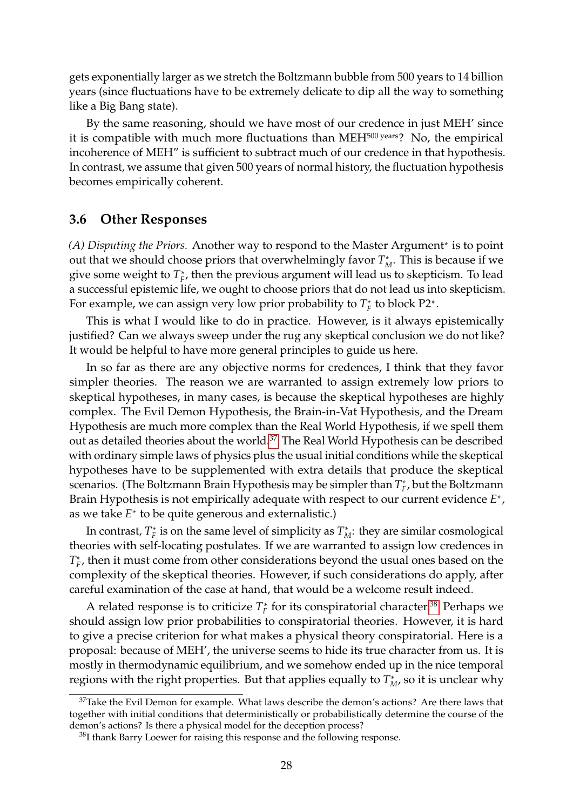gets exponentially larger as we stretch the Boltzmann bubble from 500 years to 14 billion years (since fluctuations have to be extremely delicate to dip all the way to something like a Big Bang state).

By the same reasoning, should we have most of our credence in just MEH' since it is compatible with much more fluctuations than MEH<sup>500 years</sup>? No, the empirical incoherence of MEH" is sufficient to subtract much of our credence in that hypothesis. In contrast, we assume that given 500 years of normal history, the fluctuation hypothesis becomes empirically coherent.

### <span id="page-27-0"></span>**3.6 Other Responses**

*(A) Disputing the Priors.* Another way to respond to the Master Argument<sup>∗</sup> is to point out that we should choose priors that overwhelmingly favor  $T_M^*$ . This is because if we give some weight to  $T_F^*$ , then the previous argument will lead us to skepticism. To lead a successful epistemic life, we ought to choose priors that do not lead us into skepticism. For example, we can assign very low prior probability to  $T_F^*$  to block P2<sup>∗</sup>.

This is what I would like to do in practice. However, is it always epistemically justified? Can we always sweep under the rug any skeptical conclusion we do not like? It would be helpful to have more general principles to guide us here.

In so far as there are any objective norms for credences, I think that they favor simpler theories. The reason we are warranted to assign extremely low priors to skeptical hypotheses, in many cases, is because the skeptical hypotheses are highly complex. The Evil Demon Hypothesis, the Brain-in-Vat Hypothesis, and the Dream Hypothesis are much more complex than the Real World Hypothesis, if we spell them out as detailed theories about the world.[37](#page-27-1) The Real World Hypothesis can be described with ordinary simple laws of physics plus the usual initial conditions while the skeptical hypotheses have to be supplemented with extra details that produce the skeptical scenarios. (The Boltzmann Brain Hypothesis may be simpler than  $T_F^*$ , but the Boltzmann Brain Hypothesis is not empirically adequate with respect to our current evidence *E*<sup>∗</sup> , as we take *E*<sup>∗</sup> to be quite generous and externalistic.)

In contrast,  $T_F^*$  is on the same level of simplicity as  $T_M^*$ : they are similar cosmological theories with self-locating postulates. If we are warranted to assign low credences in *T*<sup>∗</sup><sub>*F*</sub>, then it must come from other considerations beyond the usual ones based on the complexity of the skeptical theories. However, if such considerations do apply, after careful examination of the case at hand, that would be a welcome result indeed.

A related response is to criticize  $T_F^*$  for its conspiratorial character.<sup>[38](#page-27-2)</sup> Perhaps we should assign low prior probabilities to conspiratorial theories. However, it is hard to give a precise criterion for what makes a physical theory conspiratorial. Here is a proposal: because of MEH', the universe seems to hide its true character from us. It is mostly in thermodynamic equilibrium, and we somehow ended up in the nice temporal regions with the right properties. But that applies equally to  $T_M^*$ , so it is unclear why

<span id="page-27-1"></span> $37$ Take the Evil Demon for example. What laws describe the demon's actions? Are there laws that together with initial conditions that deterministically or probabilistically determine the course of the demon's actions? Is there a physical model for the deception process?

<span id="page-27-2"></span> $38$ I thank Barry Loewer for raising this response and the following response.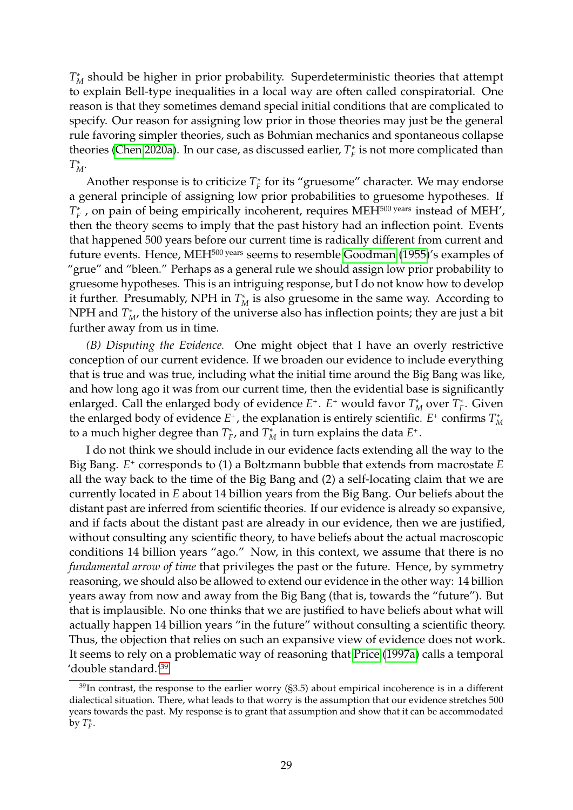*T* ∗ *<sup>M</sup>* should be higher in prior probability. Superdeterministic theories that attempt to explain Bell-type inequalities in a local way are often called conspiratorial. One reason is that they sometimes demand special initial conditions that are complicated to specify. Our reason for assigning low prior in those theories may just be the general rule favoring simpler theories, such as Bohmian mechanics and spontaneous collapse theories [\(Chen 2020a\)](#page-32-12). In our case, as discussed earlier,  $T_F^*$  is not more complicated than *T* ∗ *M*.

Another response is to criticize  $T_F^*$  for its "gruesome" character. We may endorse a general principle of assigning low prior probabilities to gruesome hypotheses. If *T*<sup>\*</sup><sub>*F*</sub> , on pain of being empirically incoherent, requires MEH<sup>500 years</sup> instead of MEH', then the theory seems to imply that the past history had an inflection point. Events that happened 500 years before our current time is radically different from current and future events. Hence, MEH<sup>500 years</sup> seems to resemble [Goodman](#page-33-13) [\(1955\)](#page-33-13)'s examples of "grue" and "bleen." Perhaps as a general rule we should assign low prior probability to gruesome hypotheses. This is an intriguing response, but I do not know how to develop it further. Presumably, NPH in  $T_M^*$  is also gruesome in the same way. According to NPH and  $T^*_{M}$ , the history of the universe also has inflection points; they are just a bit further away from us in time.

*(B) Disputing the Evidence.* One might object that I have an overly restrictive conception of our current evidence. If we broaden our evidence to include everything that is true and was true, including what the initial time around the Big Bang was like, and how long ago it was from our current time, then the evidential base is significantly enlarged. Call the enlarged body of evidence  $E^*$ .  $E^*$  would favor  $T^*_M$  over  $T^*_F$ . Given the enlarged body of evidence  $E^+$ , the explanation is entirely scientific.  $E^+$  confirms  $T_M^*$ to a much higher degree than  $T_F^*$ , and  $T_M^*$  in turn explains the data  $E^*$ .

I do not think we should include in our evidence facts extending all the way to the Big Bang. *E*<sup>+</sup> corresponds to (1) a Boltzmann bubble that extends from macrostate *E* all the way back to the time of the Big Bang and (2) a self-locating claim that we are currently located in *E* about 14 billion years from the Big Bang. Our beliefs about the distant past are inferred from scientific theories. If our evidence is already so expansive, and if facts about the distant past are already in our evidence, then we are justified, without consulting any scientific theory, to have beliefs about the actual macroscopic conditions 14 billion years "ago." Now, in this context, we assume that there is no *fundamental arrow of time* that privileges the past or the future. Hence, by symmetry reasoning, we should also be allowed to extend our evidence in the other way: 14 billion years away from now and away from the Big Bang (that is, towards the "future"). But that is implausible. No one thinks that we are justified to have beliefs about what will actually happen 14 billion years "in the future" without consulting a scientific theory. Thus, the objection that relies on such an expansive view of evidence does not work. It seems to rely on a problematic way of reasoning that [Price](#page-34-15) [\(1997a\)](#page-34-15) calls a temporal 'double standard.'[39](#page-28-0)

<span id="page-28-0"></span> $39$ In contrast, the response to the earlier worry ( $\S$ 3.5) about empirical incoherence is in a different dialectical situation. There, what leads to that worry is the assumption that our evidence stretches 500 years towards the past. My response is to grant that assumption and show that it can be accommodated by  $T_F^*$ .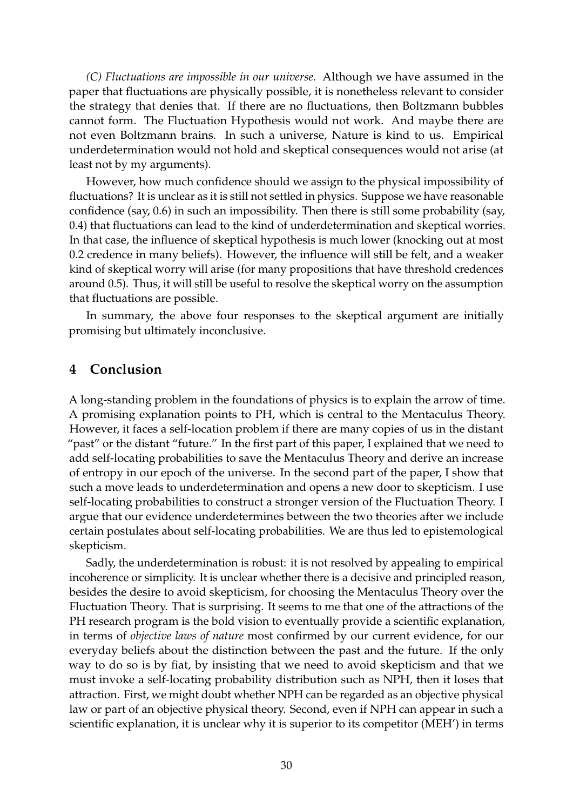*(C) Fluctuations are impossible in our universe.* Although we have assumed in the paper that fluctuations are physically possible, it is nonetheless relevant to consider the strategy that denies that. If there are no fluctuations, then Boltzmann bubbles cannot form. The Fluctuation Hypothesis would not work. And maybe there are not even Boltzmann brains. In such a universe, Nature is kind to us. Empirical underdetermination would not hold and skeptical consequences would not arise (at least not by my arguments).

However, how much confidence should we assign to the physical impossibility of fluctuations? It is unclear as it is still not settled in physics. Suppose we have reasonable confidence (say, 0.6) in such an impossibility. Then there is still some probability (say, 0.4) that fluctuations can lead to the kind of underdetermination and skeptical worries. In that case, the influence of skeptical hypothesis is much lower (knocking out at most 0.2 credence in many beliefs). However, the influence will still be felt, and a weaker kind of skeptical worry will arise (for many propositions that have threshold credences around 0.5). Thus, it will still be useful to resolve the skeptical worry on the assumption that fluctuations are possible.

In summary, the above four responses to the skeptical argument are initially promising but ultimately inconclusive.

## <span id="page-29-0"></span>**4 Conclusion**

A long-standing problem in the foundations of physics is to explain the arrow of time. A promising explanation points to PH, which is central to the Mentaculus Theory. However, it faces a self-location problem if there are many copies of us in the distant "past" or the distant "future." In the first part of this paper, I explained that we need to add self-locating probabilities to save the Mentaculus Theory and derive an increase of entropy in our epoch of the universe. In the second part of the paper, I show that such a move leads to underdetermination and opens a new door to skepticism. I use self-locating probabilities to construct a stronger version of the Fluctuation Theory. I argue that our evidence underdetermines between the two theories after we include certain postulates about self-locating probabilities. We are thus led to epistemological skepticism.

Sadly, the underdetermination is robust: it is not resolved by appealing to empirical incoherence or simplicity. It is unclear whether there is a decisive and principled reason, besides the desire to avoid skepticism, for choosing the Mentaculus Theory over the Fluctuation Theory. That is surprising. It seems to me that one of the attractions of the PH research program is the bold vision to eventually provide a scientific explanation, in terms of *objective laws of nature* most confirmed by our current evidence, for our everyday beliefs about the distinction between the past and the future. If the only way to do so is by fiat, by insisting that we need to avoid skepticism and that we must invoke a self-locating probability distribution such as NPH, then it loses that attraction. First, we might doubt whether NPH can be regarded as an objective physical law or part of an objective physical theory. Second, even if NPH can appear in such a scientific explanation, it is unclear why it is superior to its competitor (MEH') in terms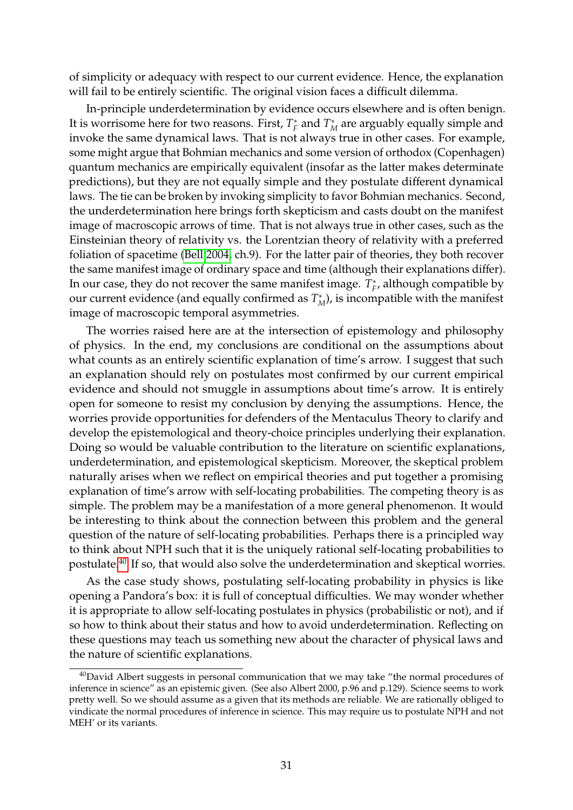of simplicity or adequacy with respect to our current evidence. Hence, the explanation will fail to be entirely scientific. The original vision faces a difficult dilemma.

In-principle underdetermination by evidence occurs elsewhere and is often benign. It is worrisome here for two reasons. First,  $T_F^*$  and  $T_M^*$  are arguably equally simple and invoke the same dynamical laws. That is not always true in other cases. For example, some might argue that Bohmian mechanics and some version of orthodox (Copenhagen) quantum mechanics are empirically equivalent (insofar as the latter makes determinate predictions), but they are not equally simple and they postulate different dynamical laws. The tie can be broken by invoking simplicity to favor Bohmian mechanics. Second, the underdetermination here brings forth skepticism and casts doubt on the manifest image of macroscopic arrows of time. That is not always true in other cases, such as the Einsteinian theory of relativity vs. the Lorentzian theory of relativity with a preferred foliation of spacetime [\(Bell 2004,](#page-31-7) ch.9). For the latter pair of theories, they both recover the same manifest image of ordinary space and time (although their explanations differ). In our case, they do not recover the same manifest image.  $T_F^*$ , although compatible by our current evidence (and equally confirmed as  $T_M^*$ ), is incompatible with the manifest image of macroscopic temporal asymmetries.

The worries raised here are at the intersection of epistemology and philosophy of physics. In the end, my conclusions are conditional on the assumptions about what counts as an entirely scientific explanation of time's arrow. I suggest that such an explanation should rely on postulates most confirmed by our current empirical evidence and should not smuggle in assumptions about time's arrow. It is entirely open for someone to resist my conclusion by denying the assumptions. Hence, the worries provide opportunities for defenders of the Mentaculus Theory to clarify and develop the epistemological and theory-choice principles underlying their explanation. Doing so would be valuable contribution to the literature on scientific explanations, underdetermination, and epistemological skepticism. Moreover, the skeptical problem naturally arises when we reflect on empirical theories and put together a promising explanation of time's arrow with self-locating probabilities. The competing theory is as simple. The problem may be a manifestation of a more general phenomenon. It would be interesting to think about the connection between this problem and the general question of the nature of self-locating probabilities. Perhaps there is a principled way to think about NPH such that it is the uniquely rational self-locating probabilities to postulate.[40](#page-30-0) If so, that would also solve the underdetermination and skeptical worries.

As the case study shows, postulating self-locating probability in physics is like opening a Pandora's box: it is full of conceptual difficulties. We may wonder whether it is appropriate to allow self-locating postulates in physics (probabilistic or not), and if so how to think about their status and how to avoid underdetermination. Reflecting on these questions may teach us something new about the character of physical laws and the nature of scientific explanations.

<span id="page-30-0"></span> $40$ David Albert suggests in personal communication that we may take "the normal procedures of inference in science" as an epistemic given. (See also Albert 2000, p.96 and p.129). Science seems to work pretty well. So we should assume as a given that its methods are reliable. We are rationally obliged to vindicate the normal procedures of inference in science. This may require us to postulate NPH and not MEH' or its variants.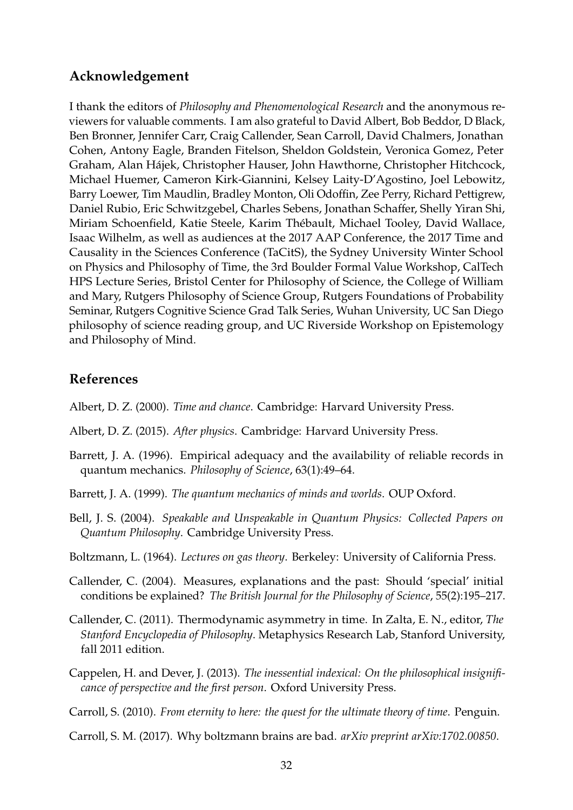## **Acknowledgement**

I thank the editors of *Philosophy and Phenomenological Research* and the anonymous reviewers for valuable comments. I am also grateful to David Albert, Bob Beddor, D Black, Ben Bronner, Jennifer Carr, Craig Callender, Sean Carroll, David Chalmers, Jonathan Cohen, Antony Eagle, Branden Fitelson, Sheldon Goldstein, Veronica Gomez, Peter Graham, Alan Hájek, Christopher Hauser, John Hawthorne, Christopher Hitchcock, Michael Huemer, Cameron Kirk-Giannini, Kelsey Laity-D'Agostino, Joel Lebowitz, Barry Loewer, Tim Maudlin, Bradley Monton, Oli Odoffin, Zee Perry, Richard Pettigrew, Daniel Rubio, Eric Schwitzgebel, Charles Sebens, Jonathan Schaffer, Shelly Yiran Shi, Miriam Schoenfield, Katie Steele, Karim Thébault, Michael Tooley, David Wallace, Isaac Wilhelm, as well as audiences at the 2017 AAP Conference, the 2017 Time and Causality in the Sciences Conference (TaCitS), the Sydney University Winter School on Physics and Philosophy of Time, the 3rd Boulder Formal Value Workshop, CalTech HPS Lecture Series, Bristol Center for Philosophy of Science, the College of William and Mary, Rutgers Philosophy of Science Group, Rutgers Foundations of Probability Seminar, Rutgers Cognitive Science Grad Talk Series, Wuhan University, UC San Diego philosophy of science reading group, and UC Riverside Workshop on Epistemology and Philosophy of Mind.

## **References**

- <span id="page-31-1"></span>Albert, D. Z. (2000). *Time and chance*. Cambridge: Harvard University Press.
- Albert, D. Z. (2015). *After physics*. Cambridge: Harvard University Press.
- <span id="page-31-5"></span>Barrett, J. A. (1996). Empirical adequacy and the availability of reliable records in quantum mechanics. *Philosophy of Science*, 63(1):49–64.
- <span id="page-31-6"></span>Barrett, J. A. (1999). *The quantum mechanics of minds and worlds*. OUP Oxford.
- <span id="page-31-7"></span>Bell, J. S. (2004). *Speakable and Unspeakable in Quantum Physics: Collected Papers on Quantum Philosophy*. Cambridge University Press.
- <span id="page-31-0"></span>Boltzmann, L. (1964). *Lectures on gas theory*. Berkeley: University of California Press.
- <span id="page-31-2"></span>Callender, C. (2004). Measures, explanations and the past: Should 'special' initial conditions be explained? *The British Journal for the Philosophy of Science*, 55(2):195–217.
- Callender, C. (2011). Thermodynamic asymmetry in time. In Zalta, E. N., editor, *The Stanford Encyclopedia of Philosophy*. Metaphysics Research Lab, Stanford University, fall 2011 edition.
- <span id="page-31-4"></span>Cappelen, H. and Dever, J. (2013). *The inessential indexical: On the philosophical insignificance of perspective and the first person*. Oxford University Press.
- Carroll, S. (2010). *From eternity to here: the quest for the ultimate theory of time*. Penguin.

<span id="page-31-3"></span>Carroll, S. M. (2017). Why boltzmann brains are bad. *arXiv preprint arXiv:1702.00850*.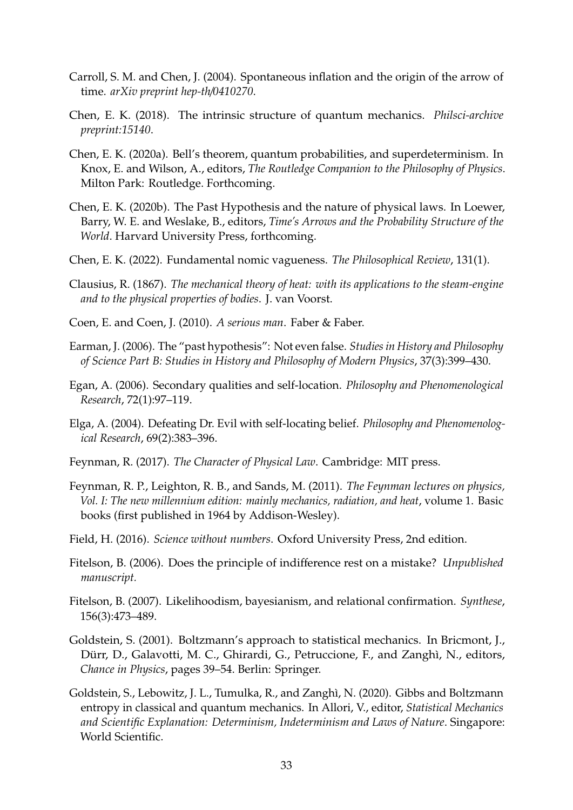- <span id="page-32-6"></span>Carroll, S. M. and Chen, J. (2004). Spontaneous inflation and the origin of the arrow of time. *arXiv preprint hep-th*/*0410270*.
- <span id="page-32-11"></span>Chen, E. K. (2018). The intrinsic structure of quantum mechanics. *Philsci-archive preprint:15140*.
- <span id="page-32-12"></span>Chen, E. K. (2020a). Bell's theorem, quantum probabilities, and superdeterminism. In Knox, E. and Wilson, A., editors, *The Routledge Companion to the Philosophy of Physics*. Milton Park: Routledge. Forthcoming.
- <span id="page-32-3"></span>Chen, E. K. (2020b). The Past Hypothesis and the nature of physical laws. In Loewer, Barry, W. E. and Weslake, B., editors, *Time's Arrows and the Probability Structure of the World*. Harvard University Press, forthcoming.
- <span id="page-32-4"></span>Chen, E. K. (2022). Fundamental nomic vagueness. *The Philosophical Review*, 131(1).
- <span id="page-32-7"></span>Clausius, R. (1867). *The mechanical theory of heat: with its applications to the steam-engine and to the physical properties of bodies*. J. van Voorst.
- Coen, E. and Coen, J. (2010). *A serious man*. Faber & Faber.
- <span id="page-32-5"></span>Earman, J. (2006). The "past hypothesis": Not even false. *Studies in History and Philosophy of Science Part B: Studies in History and Philosophy of Modern Physics*, 37(3):399–430.
- <span id="page-32-8"></span>Egan, A. (2006). Secondary qualities and self-location. *Philosophy and Phenomenological Research*, 72(1):97–119.
- <span id="page-32-9"></span>Elga, A. (2004). Defeating Dr. Evil with self-locating belief. *Philosophy and Phenomenological Research*, 69(2):383–396.
- <span id="page-32-1"></span>Feynman, R. (2017). *The Character of Physical Law*. Cambridge: MIT press.
- <span id="page-32-0"></span>Feynman, R. P., Leighton, R. B., and Sands, M. (2011). *The Feynman lectures on physics, Vol. I: The new millennium edition: mainly mechanics, radiation, and heat*, volume 1. Basic books (first published in 1964 by Addison-Wesley).
- <span id="page-32-10"></span>Field, H. (2016). *Science without numbers*. Oxford University Press, 2nd edition.
- Fitelson, B. (2006). Does the principle of indifference rest on a mistake? *Unpublished manuscript.*
- Fitelson, B. (2007). Likelihoodism, bayesianism, and relational confirmation. *Synthese*, 156(3):473–489.
- Goldstein, S. (2001). Boltzmann's approach to statistical mechanics. In Bricmont, J., Dürr, D., Galavotti, M. C., Ghirardi, G., Petruccione, F., and Zanghì, N., editors, *Chance in Physics*, pages 39–54. Berlin: Springer.
- <span id="page-32-2"></span>Goldstein, S., Lebowitz, J. L., Tumulka, R., and Zanghì, N. (2020). Gibbs and Boltzmann entropy in classical and quantum mechanics. In Allori, V., editor, *Statistical Mechanics and Scientific Explanation: Determinism, Indeterminism and Laws of Nature*. Singapore: World Scientific.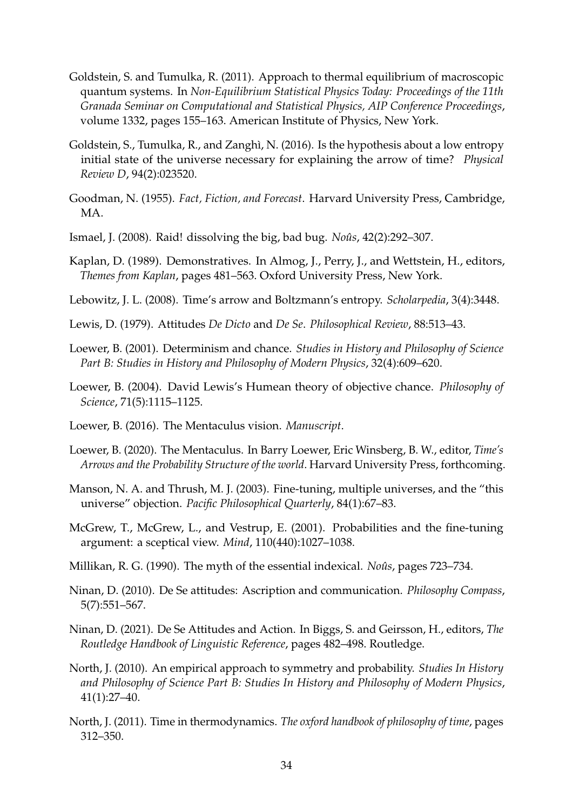- <span id="page-33-5"></span>Goldstein, S. and Tumulka, R. (2011). Approach to thermal equilibrium of macroscopic quantum systems. In *Non-Equilibrium Statistical Physics Today: Proceedings of the 11th Granada Seminar on Computational and Statistical Physics, AIP Conference Proceedings*, volume 1332, pages 155–163. American Institute of Physics, New York.
- <span id="page-33-4"></span>Goldstein, S., Tumulka, R., and Zanghì, N. (2016). Is the hypothesis about a low entropy initial state of the universe necessary for explaining the arrow of time? *Physical Review D*, 94(2):023520.
- <span id="page-33-13"></span>Goodman, N. (1955). *Fact, Fiction, and Forecast*. Harvard University Press, Cambridge, MA.
- Ismael, J. (2008). Raid! dissolving the big, bad bug. *Noûs*, 42(2):292–307.
- <span id="page-33-10"></span>Kaplan, D. (1989). Demonstratives. In Almog, J., Perry, J., and Wettstein, H., editors, *Themes from Kaplan*, pages 481–563. Oxford University Press, New York.
- <span id="page-33-0"></span>Lebowitz, J. L. (2008). Time's arrow and Boltzmann's entropy. *Scholarpedia*, 3(4):3448.
- <span id="page-33-6"></span>Lewis, D. (1979). Attitudes *De Dicto* and *De Se*. *Philosophical Review*, 88:513–43.
- Loewer, B. (2001). Determinism and chance. *Studies in History and Philosophy of Science Part B: Studies in History and Philosophy of Modern Physics*, 32(4):609–620.
- Loewer, B. (2004). David Lewis's Humean theory of objective chance. *Philosophy of Science*, 71(5):1115–1125.
- <span id="page-33-2"></span>Loewer, B. (2016). The Mentaculus vision. *Manuscript*.
- <span id="page-33-3"></span>Loewer, B. (2020). The Mentaculus. In Barry Loewer, Eric Winsberg, B. W., editor, *Time's Arrows and the Probability Structure of the world*. Harvard University Press, forthcoming.
- <span id="page-33-11"></span>Manson, N. A. and Thrush, M. J. (2003). Fine-tuning, multiple universes, and the "this universe" objection. *Pacific Philosophical Quarterly*, 84(1):67–83.
- <span id="page-33-12"></span>McGrew, T., McGrew, L., and Vestrup, E. (2001). Probabilities and the fine-tuning argument: a sceptical view. *Mind*, 110(440):1027–1038.
- <span id="page-33-8"></span>Millikan, R. G. (1990). The myth of the essential indexical. *Noûs*, pages 723–734.
- <span id="page-33-7"></span>Ninan, D. (2010). De Se attitudes: Ascription and communication. *Philosophy Compass*, 5(7):551–567.
- <span id="page-33-9"></span>Ninan, D. (2021). De Se Attitudes and Action. In Biggs, S. and Geirsson, H., editors, *The Routledge Handbook of Linguistic Reference*, pages 482–498. Routledge.
- North, J. (2010). An empirical approach to symmetry and probability. *Studies In History and Philosophy of Science Part B: Studies In History and Philosophy of Modern Physics*, 41(1):27–40.
- <span id="page-33-1"></span>North, J. (2011). Time in thermodynamics. *The oxford handbook of philosophy of time*, pages 312–350.